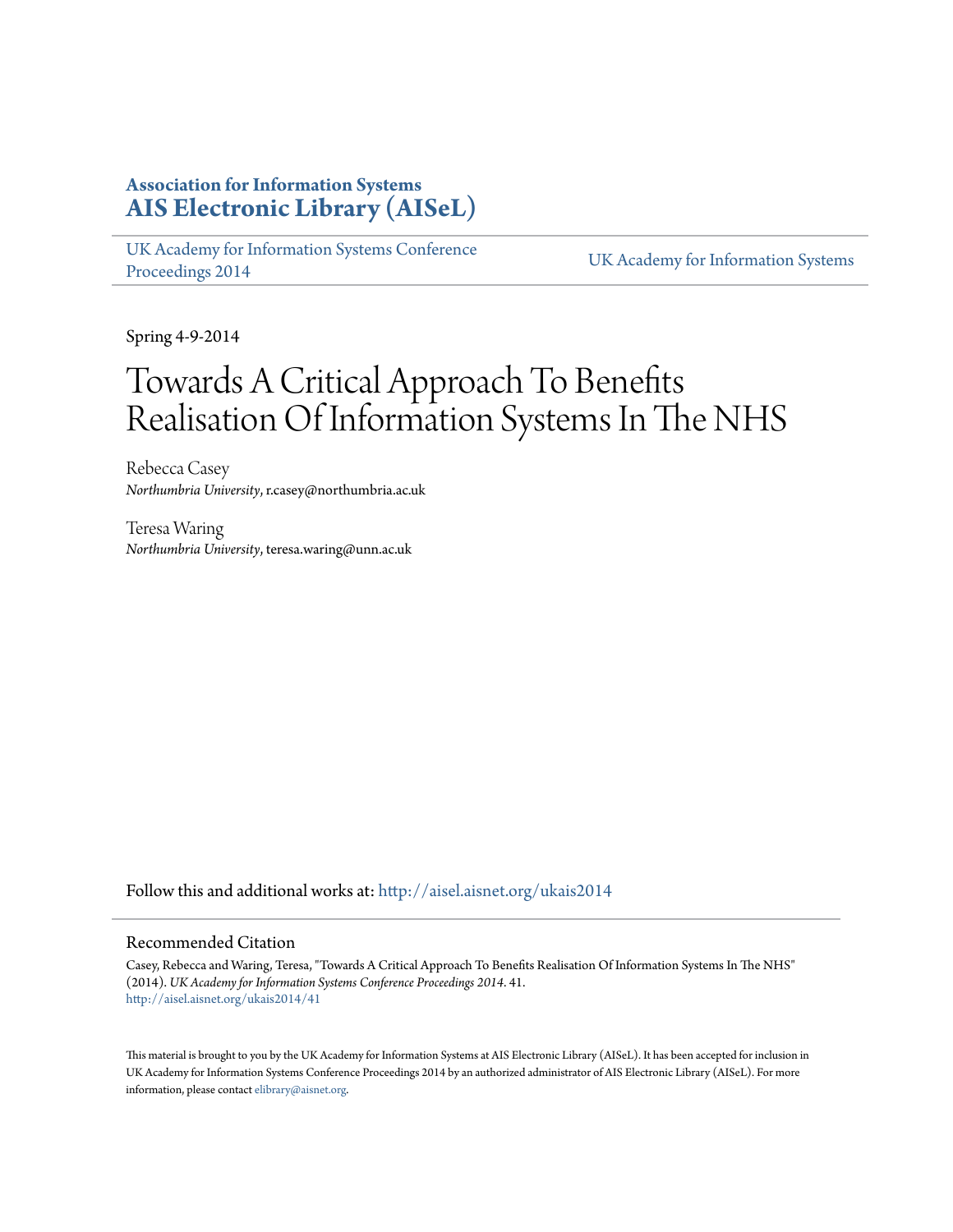## **Association for Information Systems [AIS Electronic Library \(AISeL\)](http://aisel.aisnet.org?utm_source=aisel.aisnet.org%2Fukais2014%2F41&utm_medium=PDF&utm_campaign=PDFCoverPages)**

[UK Academy for Information Systems Conference](http://aisel.aisnet.org/ukais2014?utm_source=aisel.aisnet.org%2Fukais2014%2F41&utm_medium=PDF&utm_campaign=PDFCoverPages) [Proceedings 2014](http://aisel.aisnet.org/ukais2014?utm_source=aisel.aisnet.org%2Fukais2014%2F41&utm_medium=PDF&utm_campaign=PDFCoverPages) [UK Academy for Information Systems](http://aisel.aisnet.org/ukais?utm_source=aisel.aisnet.org%2Fukais2014%2F41&utm_medium=PDF&utm_campaign=PDFCoverPages)

Spring 4-9-2014

## Towards A Critical Approach To Benefits Realisation Of Information Systems In The NHS

Rebecca Casey *Northumbria University*, r.casey@northumbria.ac.uk

Teresa Waring *Northumbria University*, teresa.waring@unn.ac.uk

Follow this and additional works at: [http://aisel.aisnet.org/ukais2014](http://aisel.aisnet.org/ukais2014?utm_source=aisel.aisnet.org%2Fukais2014%2F41&utm_medium=PDF&utm_campaign=PDFCoverPages)

#### Recommended Citation

Casey, Rebecca and Waring, Teresa, "Towards A Critical Approach To Benefits Realisation Of Information Systems In The NHS" (2014). *UK Academy for Information Systems Conference Proceedings 2014*. 41. [http://aisel.aisnet.org/ukais2014/41](http://aisel.aisnet.org/ukais2014/41?utm_source=aisel.aisnet.org%2Fukais2014%2F41&utm_medium=PDF&utm_campaign=PDFCoverPages)

This material is brought to you by the UK Academy for Information Systems at AIS Electronic Library (AISeL). It has been accepted for inclusion in UK Academy for Information Systems Conference Proceedings 2014 by an authorized administrator of AIS Electronic Library (AISeL). For more information, please contact [elibrary@aisnet.org.](mailto:elibrary@aisnet.org%3E)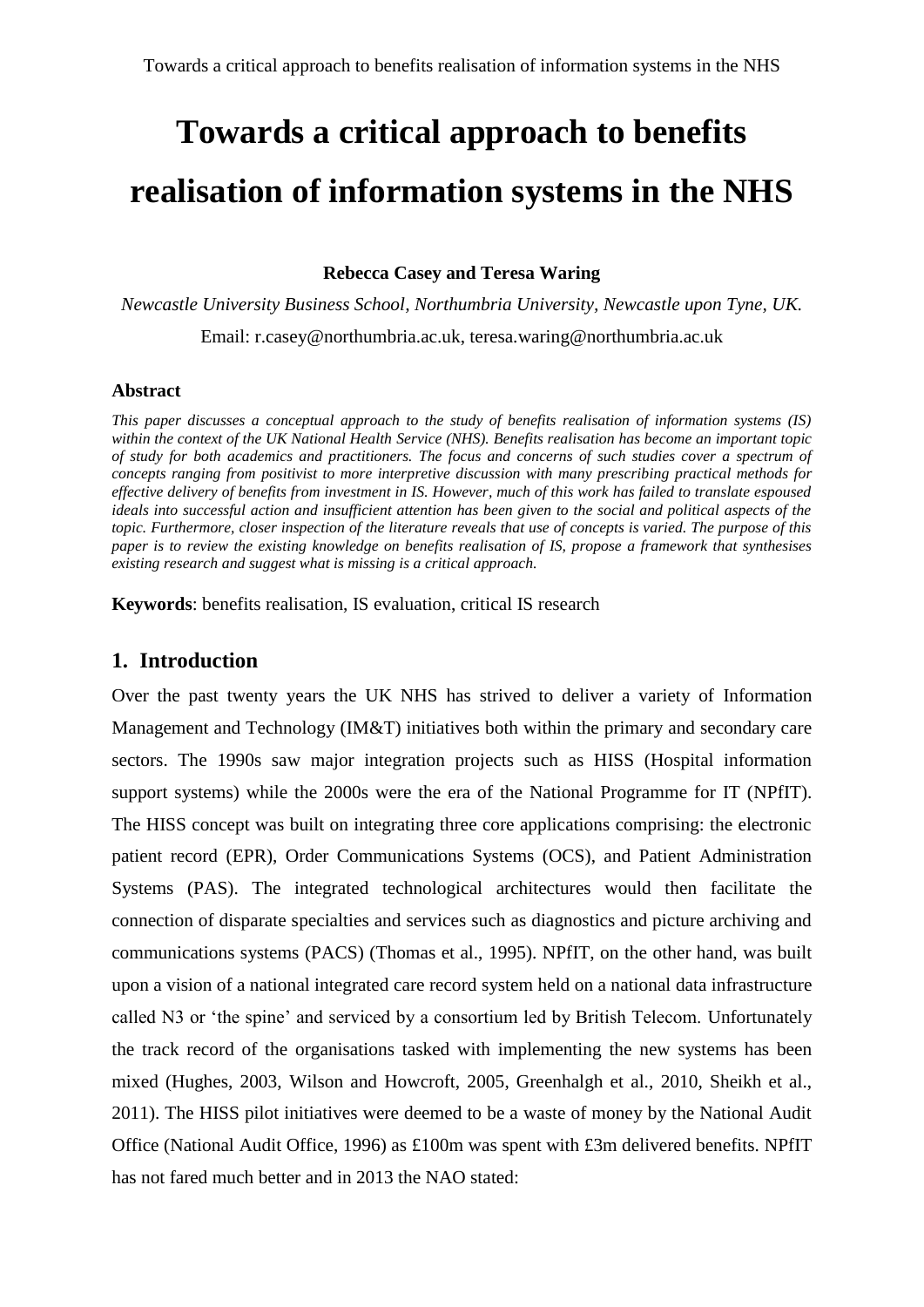**Rebecca Casey and Teresa Waring**

*Newcastle University Business School, Northumbria University, Newcastle upon Tyne, UK.* 

Email: r.casey@northumbria.ac.uk, teresa.waring@northumbria.ac.uk

#### **Abstract**

*This paper discusses a conceptual approach to the study of benefits realisation of information systems (IS) within the context of the UK National Health Service (NHS). Benefits realisation has become an important topic of study for both academics and practitioners. The focus and concerns of such studies cover a spectrum of concepts ranging from positivist to more interpretive discussion with many prescribing practical methods for effective delivery of benefits from investment in IS. However, much of this work has failed to translate espoused ideals into successful action and insufficient attention has been given to the social and political aspects of the topic. Furthermore, closer inspection of the literature reveals that use of concepts is varied. The purpose of this paper is to review the existing knowledge on benefits realisation of IS, propose a framework that synthesises existing research and suggest what is missing is a critical approach.*

**Keywords**: benefits realisation, IS evaluation, critical IS research

## **1. Introduction**

Over the past twenty years the UK NHS has strived to deliver a variety of Information Management and Technology (IM&T) initiatives both within the primary and secondary care sectors. The 1990s saw major integration projects such as HISS (Hospital information support systems) while the 2000s were the era of the National Programme for IT (NPfIT). The HISS concept was built on integrating three core applications comprising: the electronic patient record (EPR), Order Communications Systems (OCS), and Patient Administration Systems (PAS). The integrated technological architectures would then facilitate the connection of disparate specialties and services such as diagnostics and picture archiving and communications systems (PACS) [\(Thomas et al., 1995\)](#page-22-0). NPfIT, on the other hand, was built upon a vision of a national integrated care record system held on a national data infrastructure called N3 or 'the spine' and serviced by a consortium led by British Telecom. Unfortunately the track record of the organisations tasked with implementing the new systems has been mixed [\(Hughes, 2003,](#page-20-0) [Wilson and Howcroft, 2005,](#page-23-0) [Greenhalgh et al., 2010,](#page-20-1) [Sheikh et al.,](#page-22-1)  [2011\)](#page-22-1). The HISS pilot initiatives were deemed to be a waste of money by the National Audit Office [\(National Audit Office, 1996\)](#page-21-0) as £100m was spent with £3m delivered benefits. NPfIT has not fared much better and in 2013 the NAO stated: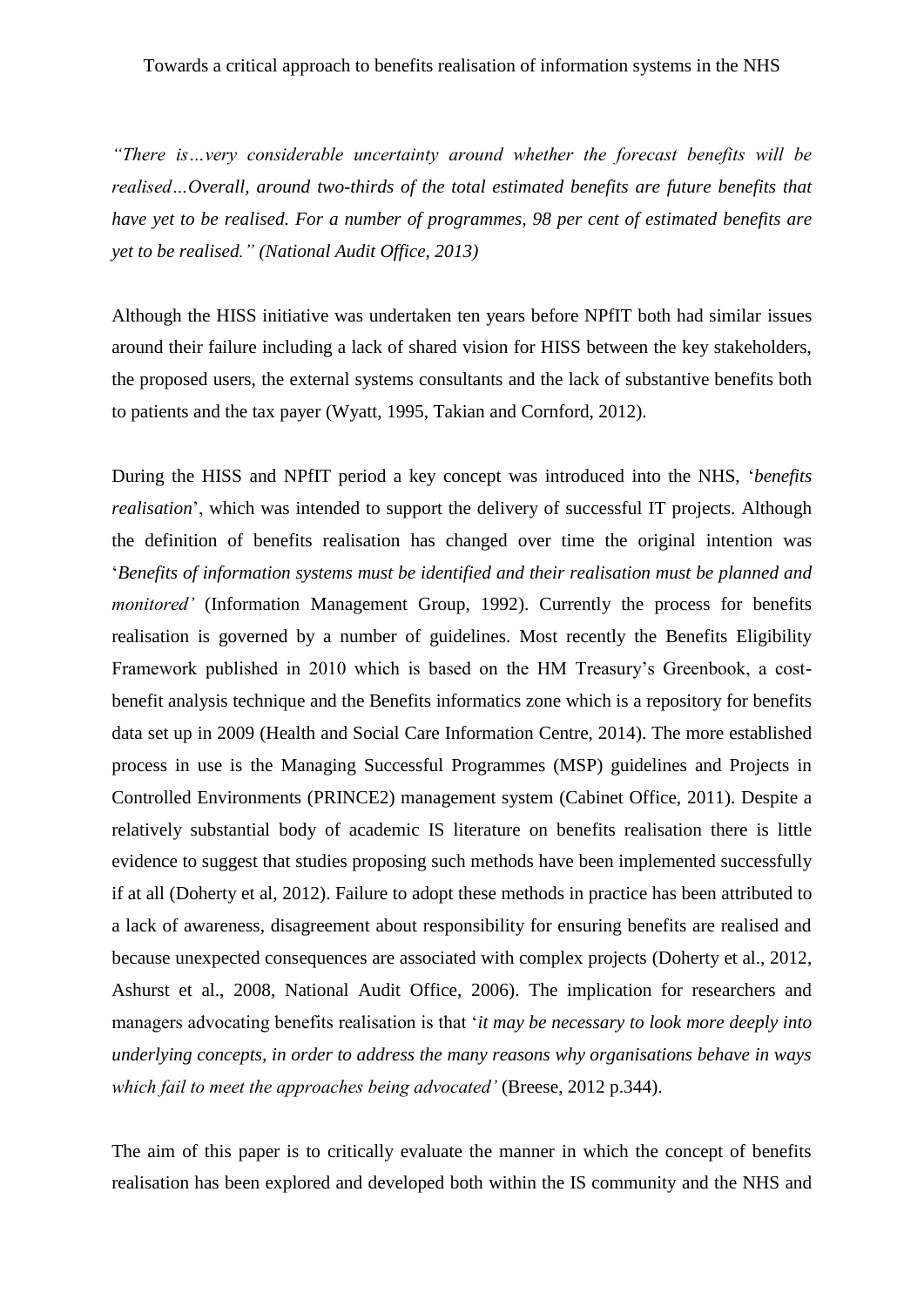*"There is…very considerable uncertainty around whether the forecast benefits will be realised…Overall, around two-thirds of the total estimated benefits are future benefits that have yet to be realised. For a number of programmes, 98 per cent of estimated benefits are yet to be realised." [\(National Audit Office, 2013\)](#page-21-1)*

Although the HISS initiative was undertaken ten years before NPfIT both had similar issues around their failure including a lack of shared vision for HISS between the key stakeholders, the proposed users, the external systems consultants and the lack of substantive benefits both to patients and the tax payer [\(Wyatt, 1995,](#page-23-1) [Takian and Cornford, 2012\)](#page-22-2).

During the HISS and NPfIT period a key concept was introduced into the NHS, '*benefits realisation*', which was intended to support the delivery of successful IT projects. Although the definition of benefits realisation has changed over time the original intention was '*Benefits of information systems must be identified and their realisation must be planned and monitored'* [\(Information Management Group, 1992\)](#page-20-2). Currently the process for benefits realisation is governed by a number of guidelines. Most recently the Benefits Eligibility Framework published in 2010 which is based on the HM Treasury's Greenbook, a costbenefit analysis technique and the Benefits informatics zone which is a repository for benefits data set up in 2009 [\(Health and Social Care Information Centre, 2014\)](#page-20-3). The more established process in use is the Managing Successful Programmes (MSP) guidelines and Projects in Controlled Environments (PRINCE2) management system [\(Cabinet Office, 2011\)](#page-19-0). Despite a relatively substantial body of academic IS literature on benefits realisation there is little evidence to suggest that studies proposing such methods have been implemented successfully if at all (Doherty [et al, 2012\)](#page-19-0). Failure to adopt these methods in practice has been attributed to a lack of awareness, disagreement about responsibility for ensuring benefits are realised and because unexpected consequences are associated with complex projects [\(Doherty et al., 2012,](#page-20-4) [Ashurst et al., 2008,](#page-19-1) [National Audit Office, 2006\)](#page-21-2). The implication for researchers and managers advocating benefits realisation is that '*it may be necessary to look more deeply into underlying concepts, in order to address the many reasons why organisations behave in ways which fail to meet the approaches being advocated'* (Breese, 2012 p.344).

The aim of this paper is to critically evaluate the manner in which the concept of benefits realisation has been explored and developed both within the IS community and the NHS and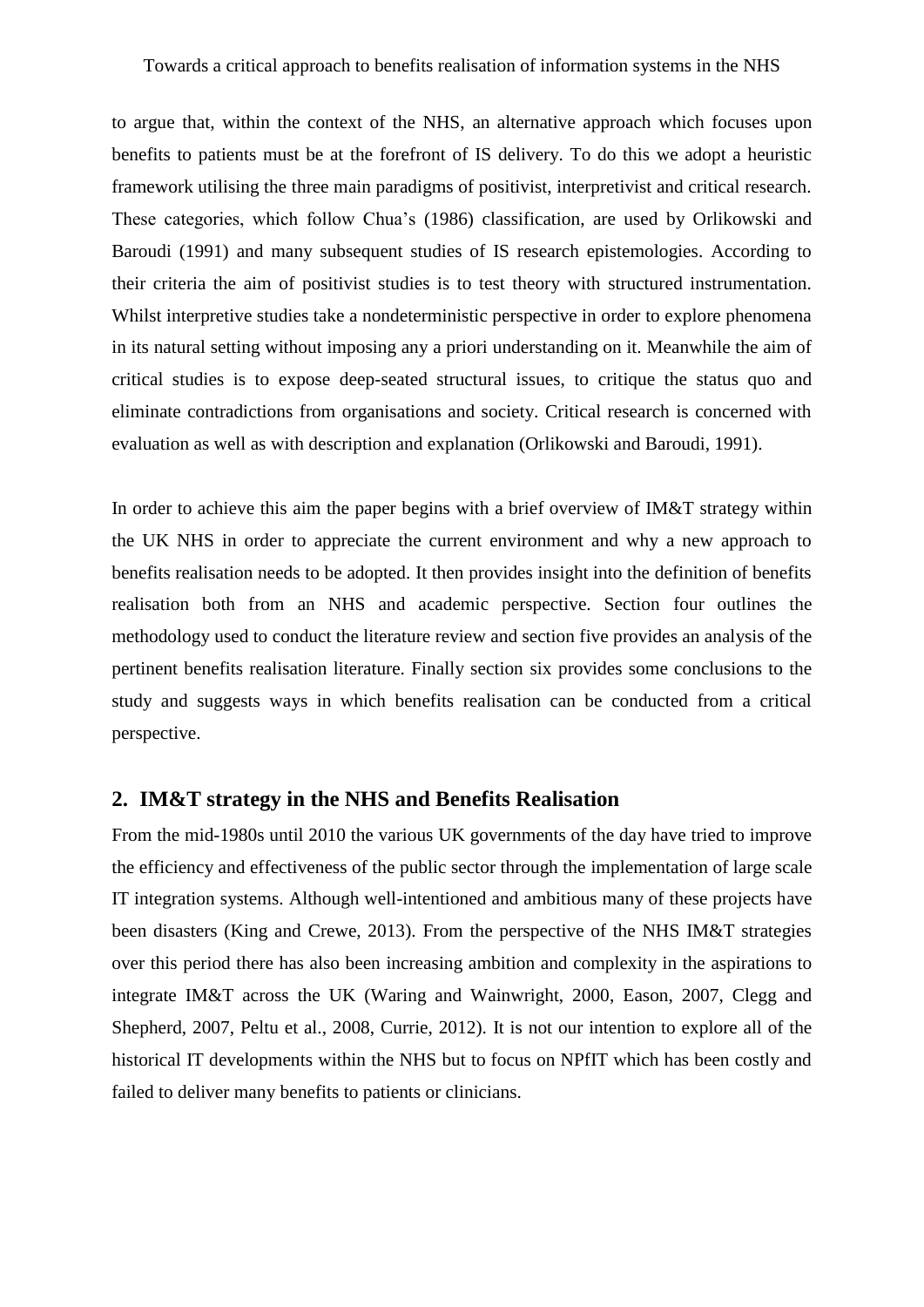to argue that, within the context of the NHS, an alternative approach which focuses upon benefits to patients must be at the forefront of IS delivery. To do this we adopt a heuristic framework utilising the three main paradigms of positivist, interpretivist and critical research. These categories, which follow Chua's [\(1986\)](#page-19-2) classification, are used by Orlikowski and Baroudi [\(1991\)](#page-21-3) and many subsequent studies of IS research epistemologies. According to their criteria the aim of positivist studies is to test theory with structured instrumentation. Whilst interpretive studies take a nondeterministic perspective in order to explore phenomena in its natural setting without imposing any a priori understanding on it. Meanwhile the aim of critical studies is to expose deep-seated structural issues, to critique the status quo and eliminate contradictions from organisations and society. Critical research is concerned with evaluation as well as with description and explanation (Orlikowski and Baroudi, 1991).

In order to achieve this aim the paper begins with a brief overview of IM&T strategy within the UK NHS in order to appreciate the current environment and why a new approach to benefits realisation needs to be adopted. It then provides insight into the definition of benefits realisation both from an NHS and academic perspective. Section four outlines the methodology used to conduct the literature review and section five provides an analysis of the pertinent benefits realisation literature. Finally section six provides some conclusions to the study and suggests ways in which benefits realisation can be conducted from a critical perspective.

#### **2. IM&T strategy in the NHS and Benefits Realisation**

From the mid-1980s until 2010 the various UK governments of the day have tried to improve the efficiency and effectiveness of the public sector through the implementation of large scale IT integration systems. Although well-intentioned and ambitious many of these projects have been disasters [\(King and Crewe, 2013\)](#page-20-5). From the perspective of the NHS IM&T strategies over this period there has also been increasing ambition and complexity in the aspirations to integrate IM&T across the UK [\(Waring and Wainwright, 2000,](#page-22-3) [Eason, 2007,](#page-20-6) [Clegg and](#page-19-3)  [Shepherd, 2007,](#page-19-3) [Peltu et al., 2008,](#page-21-4) [Currie, 2012\)](#page-19-4). It is not our intention to explore all of the historical IT developments within the NHS but to focus on NPfIT which has been costly and failed to deliver many benefits to patients or clinicians.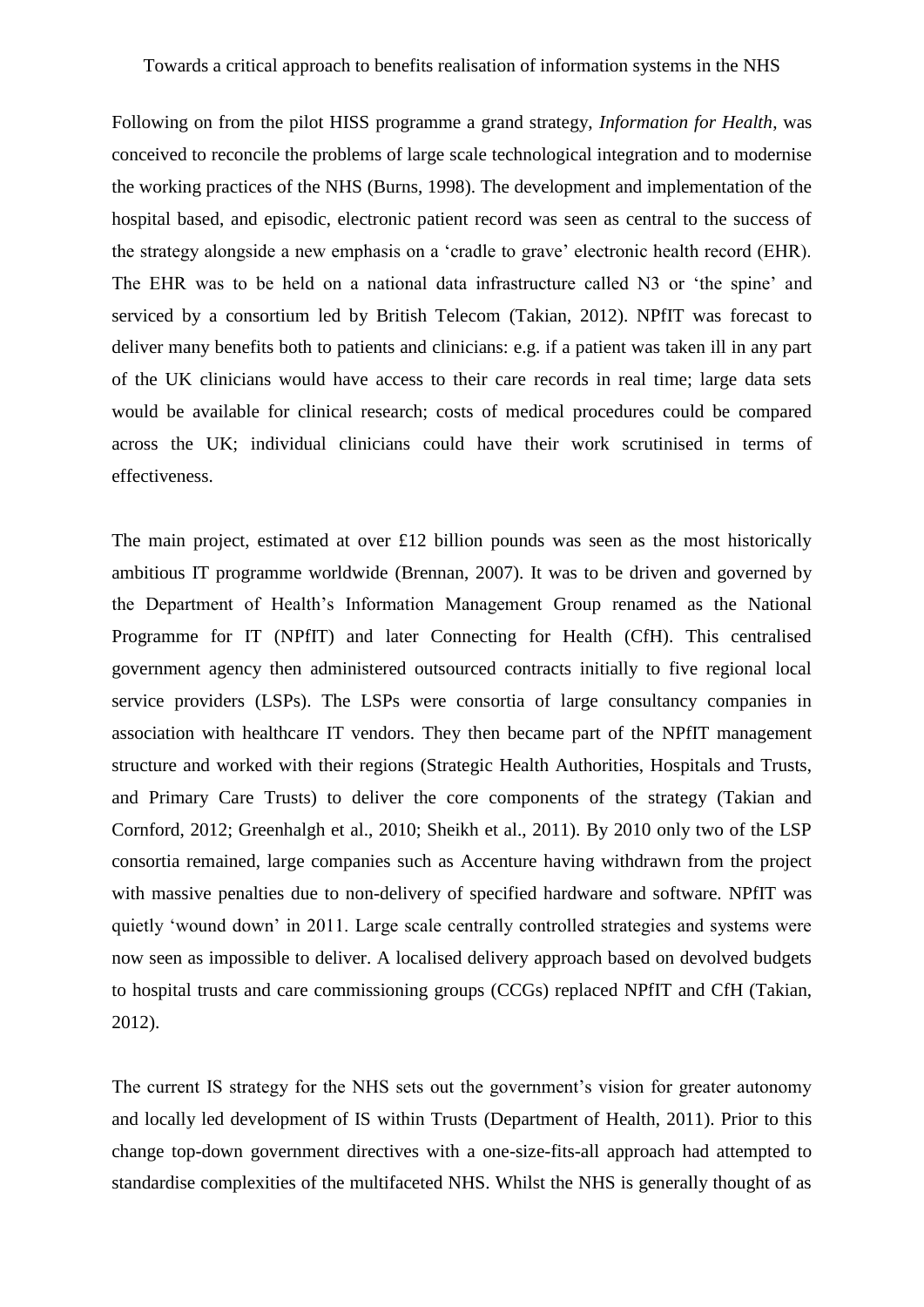Following on from the pilot HISS programme a grand strategy, *Information for Health*, was conceived to reconcile the problems of large scale technological integration and to modernise the working practices of the NHS [\(Burns, 1998\)](#page-19-5). The development and implementation of the hospital based, and episodic, electronic patient record was seen as central to the success of the strategy alongside a new emphasis on a 'cradle to grave' electronic health record (EHR). The EHR was to be held on a national data infrastructure called N3 or 'the spine' and serviced by a consortium led by British Telecom [\(Takian, 2012\)](#page-22-4). NPfIT was forecast to deliver many benefits both to patients and clinicians: e.g. if a patient was taken ill in any part of the UK clinicians would have access to their care records in real time; large data sets would be available for clinical research; costs of medical procedures could be compared across the UK; individual clinicians could have their work scrutinised in terms of effectiveness.

The main project, estimated at over £12 billion pounds was seen as the most historically ambitious IT programme worldwide [\(Brennan, 2007\)](#page-19-6). It was to be driven and governed by the Department of Health's Information Management Group renamed as the National Programme for IT (NPfIT) and later Connecting for Health (CfH). This centralised government agency then administered outsourced contracts initially to five regional local service providers (LSPs). The LSPs were consortia of large consultancy companies in association with healthcare IT vendors. They then became part of the NPfIT management structure and worked with their regions (Strategic Health Authorities, Hospitals and Trusts, and Primary Care Trusts) to deliver the core components of the strategy (Takian and Cornford, 2012; Greenhalgh et al., 2010; Sheikh et al., 2011). By 2010 only two of the LSP consortia remained, large companies such as Accenture having withdrawn from the project with massive penalties due to non-delivery of specified hardware and software. NPfIT was quietly 'wound down' in 2011. Large scale centrally controlled strategies and systems were now seen as impossible to deliver. A localised delivery approach based on devolved budgets to hospital trusts and care commissioning groups (CCGs) replaced NPfIT and CfH (Takian, 2012).

The current IS strategy for the NHS sets out the government's vision for greater autonomy and locally led development of IS within Trusts [\(Department of Health, 2011\)](#page-19-7). Prior to this change top-down government directives with a one-size-fits-all approach had attempted to standardise complexities of the multifaceted NHS. Whilst the NHS is generally thought of as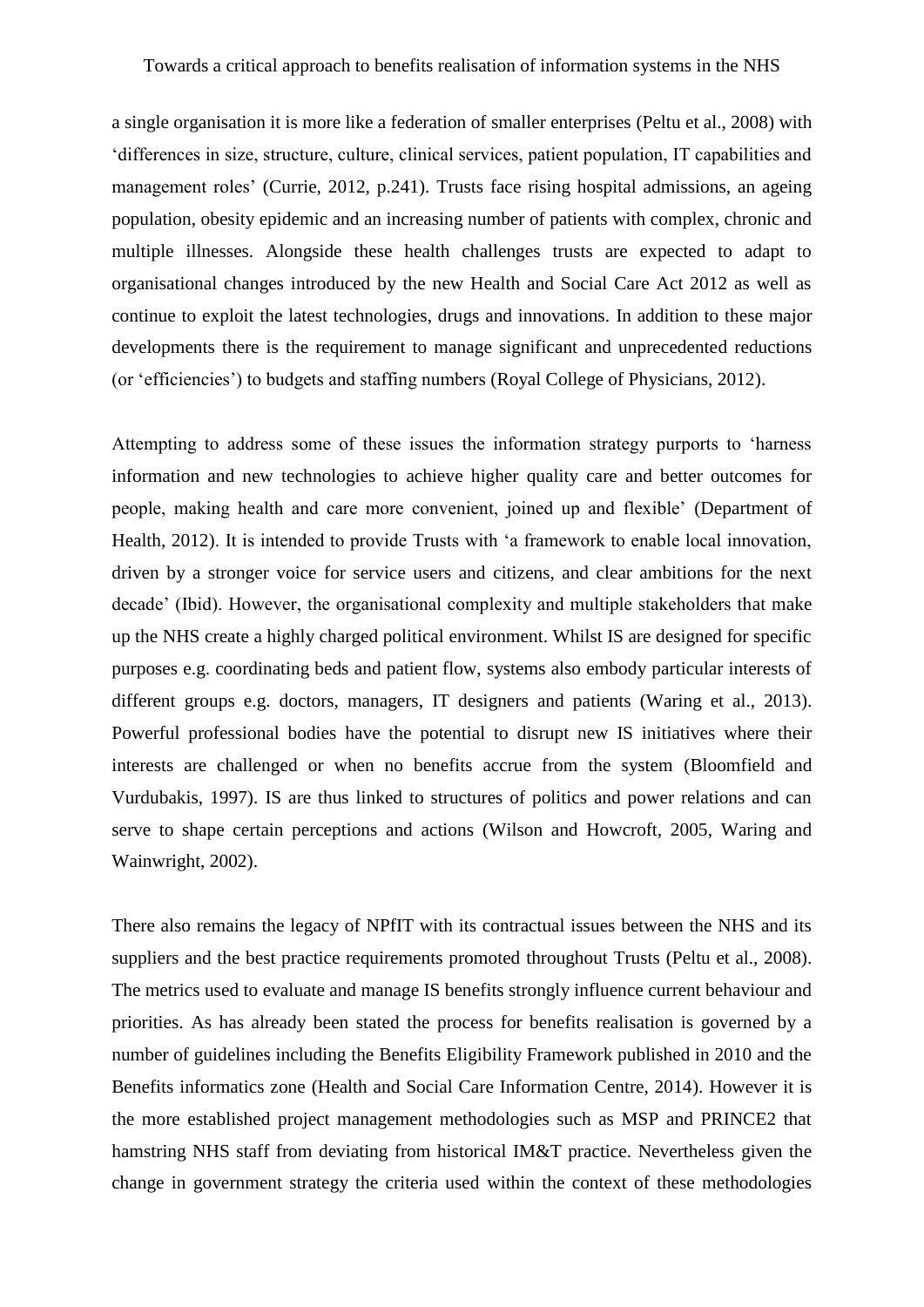a single organisation it is more like a federation of smaller enterprises [\(Peltu et al., 2008\)](#page-21-4) with 'differences in size, structure, culture, clinical services, patient population, IT capabilities and management roles' [\(Currie, 2012, p.241\)](#page-19-4). Trusts face rising hospital admissions, an ageing population, obesity epidemic and an increasing number of patients with complex, chronic and multiple illnesses. Alongside these health challenges trusts are expected to adapt to organisational changes introduced by the new Health and Social Care Act 2012 as well as continue to exploit the latest technologies, drugs and innovations. In addition to these major developments there is the requirement to manage significant and unprecedented reductions (or 'efficiencies') to budgets and staffing numbers [\(Royal College of Physicians, 2012\)](#page-21-5).

Attempting to address some of these issues the information strategy purports to 'harness information and new technologies to achieve higher quality care and better outcomes for people, making health and care more convenient, joined up and flexible' [\(Department of](#page-19-8)  [Health, 2012\)](#page-19-8). It is intended to provide Trusts with 'a framework to enable local innovation, driven by a stronger voice for service users and citizens, and clear ambitions for the next decade' (Ibid). However, the organisational complexity and multiple stakeholders that make up the NHS create a highly charged political environment. Whilst IS are designed for specific purposes e.g. coordinating beds and patient flow, systems also embody particular interests of different groups e.g. doctors, managers, IT designers and patients [\(Waring et al., 2013\)](#page-22-5). Powerful professional bodies have the potential to disrupt new IS initiatives where their interests are challenged or when no benefits accrue from the system [\(Bloomfield and](#page-19-9)  [Vurdubakis, 1997\)](#page-19-9). IS are thus linked to structures of politics and power relations and can serve to shape certain perceptions and actions [\(Wilson and Howcroft, 2005,](#page-23-0) [Waring and](#page-22-6)  [Wainwright, 2002\)](#page-22-6).

There also remains the legacy of NPfIT with its contractual issues between the NHS and its suppliers and the best practice requirements promoted throughout Trusts (Peltu et al., 2008). The metrics used to evaluate and manage IS benefits strongly influence current behaviour and priorities. As has already been stated the process for benefits realisation is governed by a number of guidelines including the Benefits Eligibility Framework published in 2010 and the Benefits informatics zone [\(Health and Social Care Information Centre, 2014\)](#page-20-3). However it is the more established project management methodologies such as MSP and PRINCE2 that hamstring NHS staff from deviating from historical IM&T practice. Nevertheless given the change in government strategy the criteria used within the context of these methodologies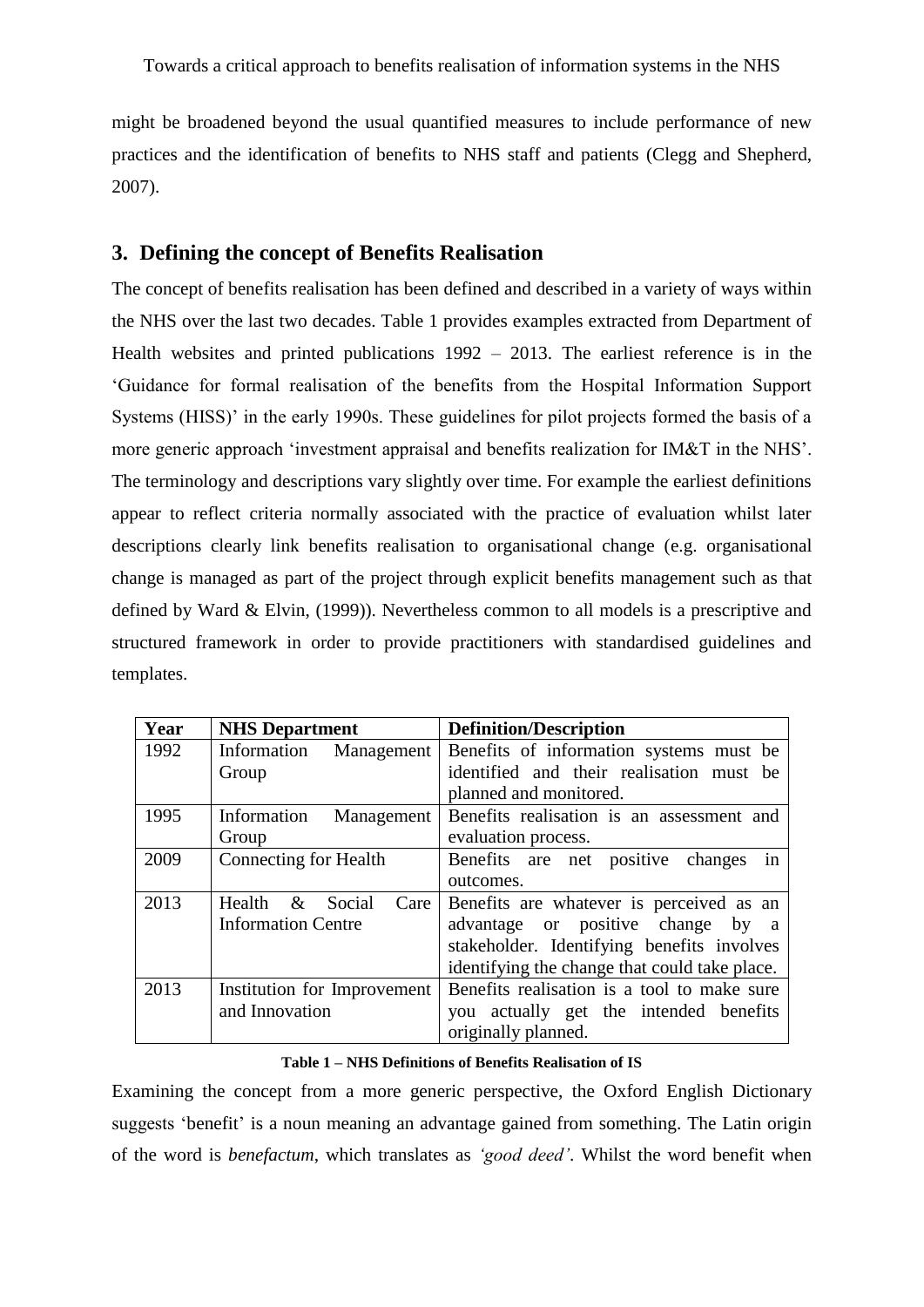might be broadened beyond the usual quantified measures to include performance of new practices and the identification of benefits to NHS staff and patients [\(Clegg and Shepherd,](#page-19-3)  [2007\)](#page-19-3).

## **3. Defining the concept of Benefits Realisation**

The concept of benefits realisation has been defined and described in a variety of ways within the NHS over the last two decades. Table 1 provides examples extracted from Department of Health websites and printed publications 1992 – 2013. The earliest reference is in the 'Guidance for formal realisation of the benefits from the Hospital Information Support Systems (HISS)' in the early 1990s. These guidelines for pilot projects formed the basis of a more generic approach 'investment appraisal and benefits realization for IM&T in the NHS'. The terminology and descriptions vary slightly over time. For example the earliest definitions appear to reflect criteria normally associated with the practice of evaluation whilst later descriptions clearly link benefits realisation to organisational change (e.g. organisational change is managed as part of the project through explicit benefits management such as that defined by Ward & Elvin, [\(1999\)](#page-22-7)). Nevertheless common to all models is a prescriptive and structured framework in order to provide practitioners with standardised guidelines and templates.

| Year | <b>NHS Department</b>         | <b>Definition/Description</b>                   |
|------|-------------------------------|-------------------------------------------------|
| 1992 | Information<br>Management     | Benefits of information systems must be         |
|      | Group                         | identified and their realisation must be        |
|      |                               | planned and monitored.                          |
| 1995 | Management<br>Information     | Benefits realisation is an assessment and       |
|      | Group                         | evaluation process.                             |
| 2009 | <b>Connecting for Health</b>  | Benefits are net positive changes<br>in         |
|      |                               | outcomes.                                       |
| 2013 | Health $\&$<br>Social<br>Care | Benefits are whatever is perceived as an        |
|      | <b>Information Centre</b>     | advantage or positive change by<br><sub>a</sub> |
|      |                               | stakeholder. Identifying benefits involves      |
|      |                               | identifying the change that could take place.   |
| 2013 | Institution for Improvement   | Benefits realisation is a tool to make sure     |
|      | and Innovation                | actually get the intended benefits<br>you       |
|      |                               | originally planned.                             |

#### **Table 1 – NHS Definitions of Benefits Realisation of IS**

Examining the concept from a more generic perspective, the Oxford English Dictionary suggests 'benefit' is a noun meaning an advantage gained from something. The Latin origin of the word is *benefactum*, which translates as *'good deed'*. Whilst the word benefit when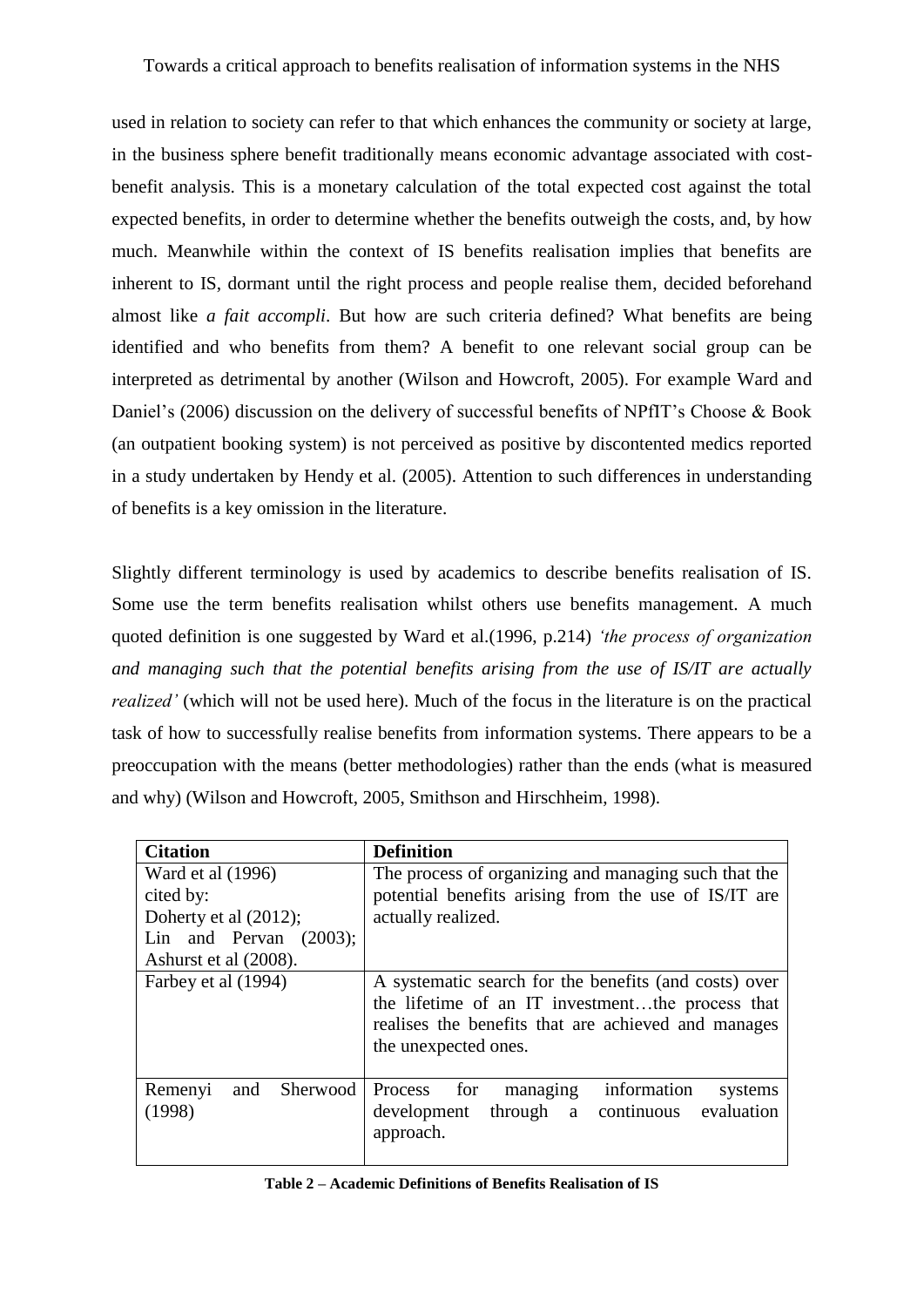used in relation to society can refer to that which enhances the community or society at large, in the business sphere benefit traditionally means economic advantage associated with costbenefit analysis. This is a monetary calculation of the total expected cost against the total expected benefits, in order to determine whether the benefits outweigh the costs, and, by how much. Meanwhile within the context of IS benefits realisation implies that benefits are inherent to IS, dormant until the right process and people realise them, decided beforehand almost like *a fait accompli*. But how are such criteria defined? What benefits are being identified and who benefits from them? A benefit to one relevant social group can be interpreted as detrimental by another (Wilson and Howcroft, 2005). For example Ward and Daniel's [\(2006\)](#page-22-8) discussion on the delivery of successful benefits of NPfIT's Choose & Book (an outpatient booking system) is not perceived as positive by discontented medics reported in a study undertaken by Hendy et al. [\(2005\)](#page-20-7). Attention to such differences in understanding of benefits is a key omission in the literature.

Slightly different terminology is used by academics to describe benefits realisation of IS. Some use the term benefits realisation whilst others use benefits management. A much quoted definition is one suggested by Ward et al.[\(1996, p.214\)](#page-22-9) *'the process of organization and managing such that the potential benefits arising from the use of IS/IT are actually realized'* (which will not be used here). Much of the focus in the literature is on the practical task of how to successfully realise benefits from information systems. There appears to be a preoccupation with the means (better methodologies) rather than the ends (what is measured and why) [\(Wilson and Howcroft, 2005,](#page-23-0) [Smithson and Hirschheim, 1998\)](#page-22-10).

| <b>Citation</b>                      | <b>Definition</b>                                                                                                                                                                        |  |
|--------------------------------------|------------------------------------------------------------------------------------------------------------------------------------------------------------------------------------------|--|
| Ward et al (1996)                    | The process of organizing and managing such that the                                                                                                                                     |  |
| cited by:                            | potential benefits arising from the use of IS/IT are                                                                                                                                     |  |
| Doherty et al $(2012)$ ;             | actually realized.                                                                                                                                                                       |  |
| Lin and Pervan $(2003)$ ;            |                                                                                                                                                                                          |  |
| Ashurst et al (2008).                |                                                                                                                                                                                          |  |
| Farbey et al (1994)                  | A systematic search for the benefits (and costs) over<br>the lifetime of an IT investmentthe process that<br>realises the benefits that are achieved and manages<br>the unexpected ones. |  |
| Sherwood<br>and<br>Remenyi<br>(1998) | information<br>Process for<br>managing<br>systems<br>through a continuous evaluation<br>development<br>approach.                                                                         |  |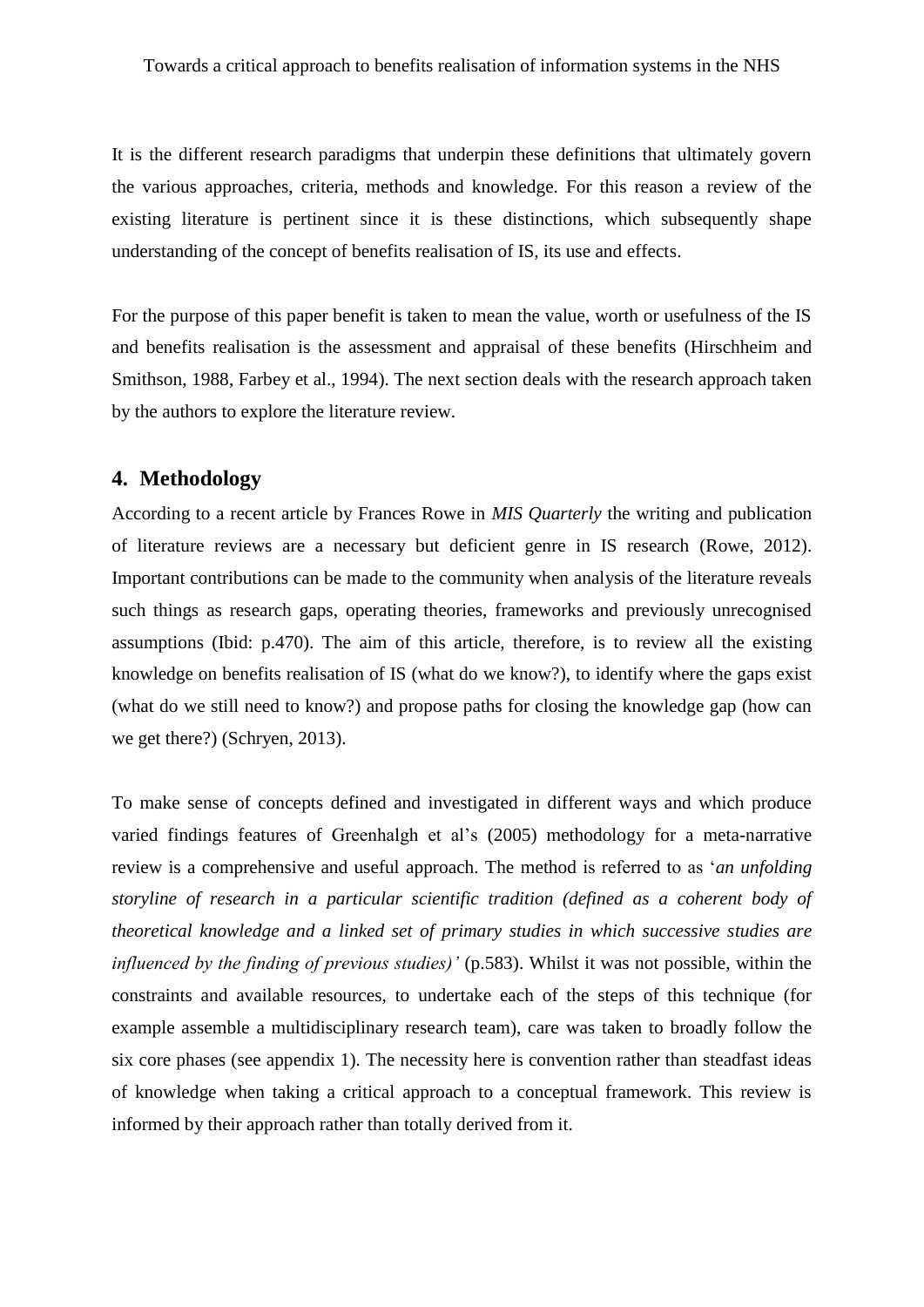It is the different research paradigms that underpin these definitions that ultimately govern the various approaches, criteria, methods and knowledge. For this reason a review of the existing literature is pertinent since it is these distinctions, which subsequently shape understanding of the concept of benefits realisation of IS, its use and effects.

For the purpose of this paper benefit is taken to mean the value, worth or usefulness of the IS and benefits realisation is the assessment and appraisal of these benefits [\(Hirschheim and](#page-20-9)  [Smithson, 1988,](#page-20-9) [Farbey et al., 1994\)](#page-20-10). The next section deals with the research approach taken by the authors to explore the literature review.

#### **4. Methodology**

According to a recent article by Frances Rowe in *MIS Quarterly* the writing and publication of literature reviews are a necessary but deficient genre in IS research [\(Rowe, 2012\)](#page-21-6). Important contributions can be made to the community when analysis of the literature reveals such things as research gaps, operating theories, frameworks and previously unrecognised assumptions (Ibid: p.470). The aim of this article, therefore, is to review all the existing knowledge on benefits realisation of IS (what do we know?), to identify where the gaps exist (what do we still need to know?) and propose paths for closing the knowledge gap (how can we get there?) [\(Schryen, 2013\)](#page-21-7).

To make sense of concepts defined and investigated in different ways and which produce varied findings features of Greenhalgh et al's [\(2005\)](#page-20-11) methodology for a meta-narrative review is a comprehensive and useful approach. The method is referred to as '*an unfolding storyline of research in a particular scientific tradition (defined as a coherent body of theoretical knowledge and a linked set of primary studies in which successive studies are influenced by the finding of previous studies)'* (p.583). Whilst it was not possible, within the constraints and available resources, to undertake each of the steps of this technique (for example assemble a multidisciplinary research team), care was taken to broadly follow the six core phases (see appendix 1). The necessity here is convention rather than steadfast ideas of knowledge when taking a critical approach to a conceptual framework. This review is informed by their approach rather than totally derived from it.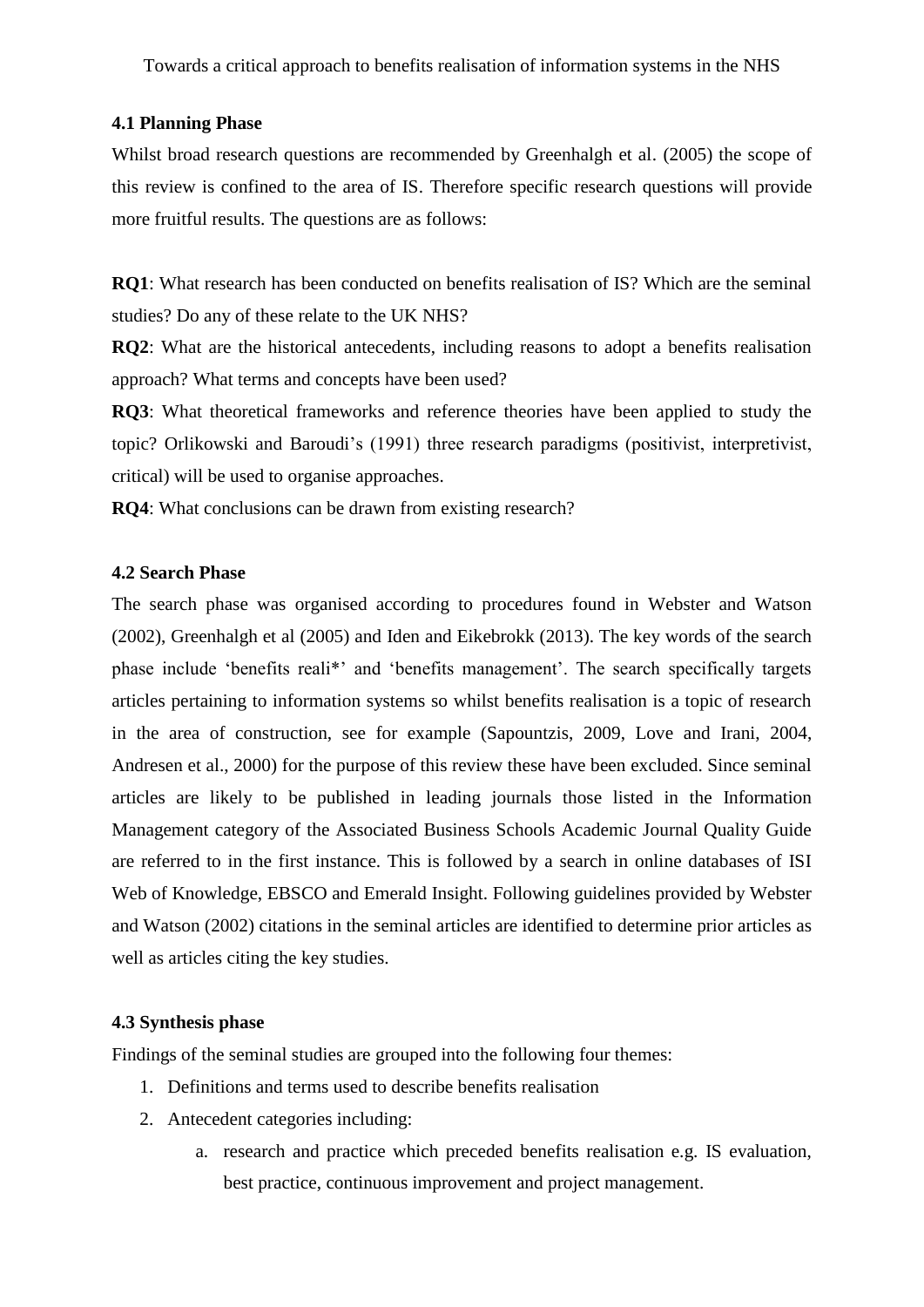#### **4.1 Planning Phase**

Whilst broad research questions are recommended by Greenhalgh et al. (2005) the scope of this review is confined to the area of IS. Therefore specific research questions will provide more fruitful results. The questions are as follows:

**RQ1**: What research has been conducted on benefits realisation of IS? Which are the seminal studies? Do any of these relate to the UK NHS?

**RQ2**: What are the historical antecedents, including reasons to adopt a benefits realisation approach? What terms and concepts have been used?

**RQ3**: What theoretical frameworks and reference theories have been applied to study the topic? Orlikowski and Baroudi's (1991) three research paradigms (positivist, interpretivist, critical) will be used to organise approaches.

**RQ4**: What conclusions can be drawn from existing research?

#### **4.2 Search Phase**

The search phase was organised according to procedures found in Webster and Watson [\(2002\)](#page-23-2), Greenhalgh et al (2005) and Iden and Eikebrokk [\(2013\)](#page-20-12). The key words of the search phase include 'benefits reali\*' and 'benefits management'. The search specifically targets articles pertaining to information systems so whilst benefits realisation is a topic of research in the area of construction, see for example [\(Sapountzis, 2009,](#page-21-8) [Love and Irani, 2004,](#page-21-9) [Andresen et al., 2000\)](#page-19-10) for the purpose of this review these have been excluded. Since seminal articles are likely to be published in leading journals those listed in the Information Management category of the Associated Business Schools Academic Journal Quality Guide are referred to in the first instance. This is followed by a search in online databases of ISI Web of Knowledge, EBSCO and Emerald Insight. Following guidelines provided by Webster and Watson (2002) citations in the seminal articles are identified to determine prior articles as well as articles citing the key studies.

#### **4.3 Synthesis phase**

Findings of the seminal studies are grouped into the following four themes:

- 1. Definitions and terms used to describe benefits realisation
- 2. Antecedent categories including:
	- a. research and practice which preceded benefits realisation e.g. IS evaluation, best practice, continuous improvement and project management.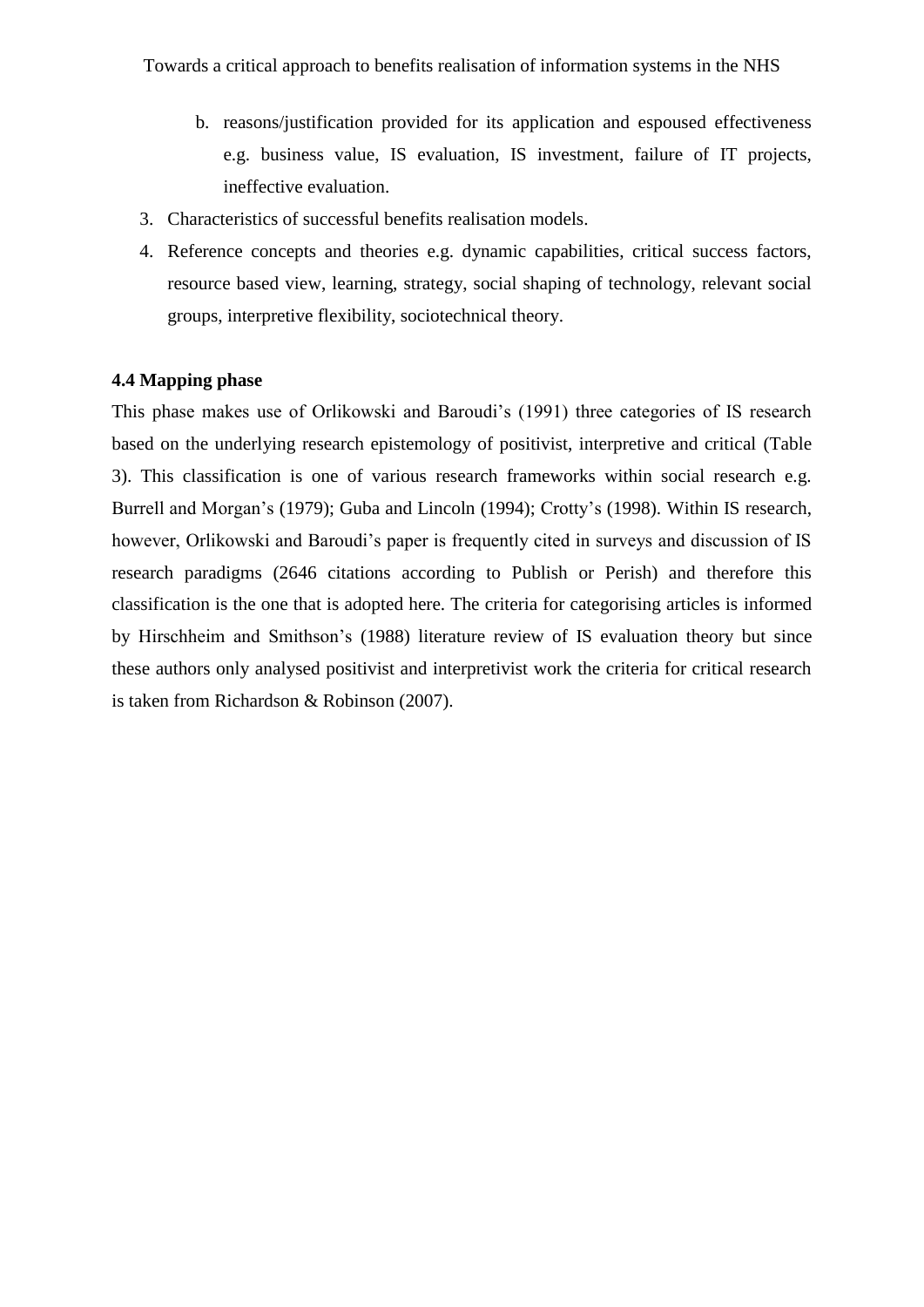- b. reasons/justification provided for its application and espoused effectiveness e.g. business value, IS evaluation, IS investment, failure of IT projects, ineffective evaluation.
- 3. Characteristics of successful benefits realisation models.
- 4. Reference concepts and theories e.g. dynamic capabilities, critical success factors, resource based view, learning, strategy, social shaping of technology, relevant social groups, interpretive flexibility, sociotechnical theory.

#### **4.4 Mapping phase**

This phase makes use of Orlikowski and Baroudi's (1991) three categories of IS research based on the underlying research epistemology of positivist, interpretive and critical (Table 3). This classification is one of various research frameworks within social research e.g. Burrell and Morgan's [\(1979\)](#page-19-11); Guba and Lincoln [\(1994\)](#page-20-13); Crotty's [\(1998\)](#page-19-12). Within IS research, however, Orlikowski and Baroudi's paper is frequently cited in surveys and discussion of IS research paradigms (2646 citations according to Publish or Perish) and therefore this classification is the one that is adopted here. The criteria for categorising articles is informed by Hirschheim and Smithson's [\(1988\)](#page-20-9) literature review of IS evaluation theory but since these authors only analysed positivist and interpretivist work the criteria for critical research is taken from Richardson & Robinson [\(2007\)](#page-21-10).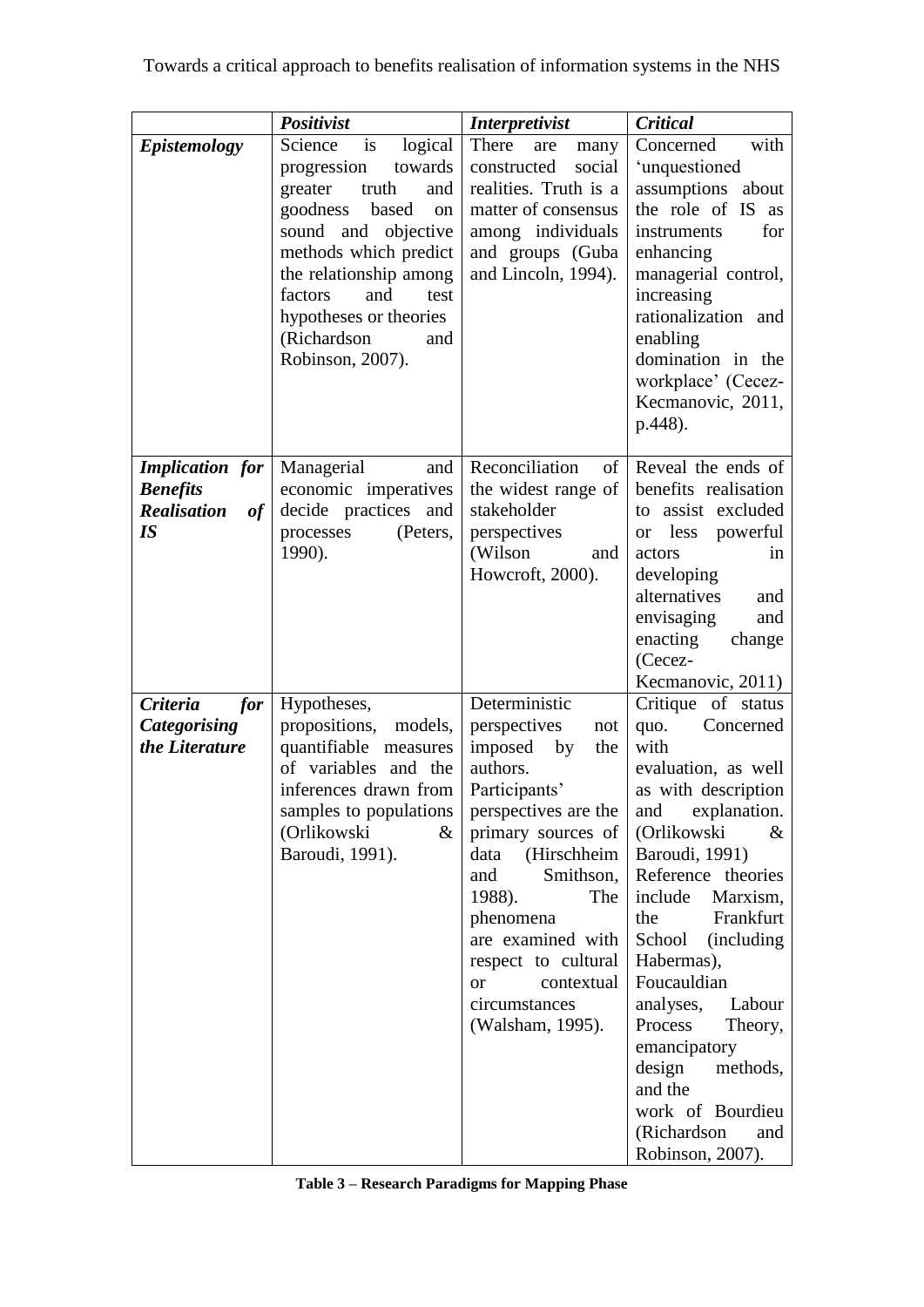|                                                                             | Positivist                                                                                                                                                                                                                                                                             | <i>Interpretivist</i>                                                                                                                                                                                                                                                                                                        | Critical                                                                                                                                                                                                                                                                                                                                                                                                                                            |
|-----------------------------------------------------------------------------|----------------------------------------------------------------------------------------------------------------------------------------------------------------------------------------------------------------------------------------------------------------------------------------|------------------------------------------------------------------------------------------------------------------------------------------------------------------------------------------------------------------------------------------------------------------------------------------------------------------------------|-----------------------------------------------------------------------------------------------------------------------------------------------------------------------------------------------------------------------------------------------------------------------------------------------------------------------------------------------------------------------------------------------------------------------------------------------------|
| <b>Epistemology</b>                                                         | is<br>Science<br>logical<br>towards<br>progression<br>greater<br>truth<br>and<br>goodness<br>based<br>on<br>sound<br>and<br>objective<br>methods which predict<br>the relationship among<br>factors<br>and<br>test<br>hypotheses or theories<br>(Richardson<br>and<br>Robinson, 2007). | There<br>are<br>many<br>constructed<br>social<br>realities. Truth is a<br>matter of consensus<br>among individuals<br>and groups (Guba<br>and Lincoln, 1994).                                                                                                                                                                | with<br>Concerned<br>'unquestioned<br>assumptions about<br>the role of IS as<br>for<br>instruments<br>enhancing<br>managerial control,<br>increasing<br>rationalization and<br>enabling<br>domination in the<br>workplace' (Cecez-<br>Kecmanovic, 2011,<br>p.448).                                                                                                                                                                                  |
| <b>Implication</b> for<br><b>Benefits</b><br><b>Realisation</b><br>of<br>IS | Managerial<br>and<br>economic imperatives<br>decide practices<br>and<br>processes<br>(Peters,<br>1990).                                                                                                                                                                                | Reconciliation<br>of<br>the widest range of<br>stakeholder<br>perspectives<br>(Wilson)<br>and<br>Howcroft, 2000).                                                                                                                                                                                                            | Reveal the ends of<br>benefits realisation<br>assist excluded<br>to<br>less<br>powerful<br><b>or</b><br>actors<br><sub>in</sub><br>developing<br>alternatives<br>and<br>envisaging<br>and<br>enacting<br>change<br>(Cecez-<br>Kecmanovic, 2011)                                                                                                                                                                                                     |
| <b>Criteria</b><br>for<br><b>Categorising</b><br>the Literature             | Hypotheses,<br>propositions,<br>models,<br>quantifiable measures<br>of variables and the<br>inferences drawn from<br>samples to populations<br>(Orlikowski<br>&<br>Baroudi, 1991).                                                                                                     | Deterministic<br>perspectives<br>not<br>imposed<br>by<br>the<br>authors.<br>Participants'<br>perspectives are the<br>primary sources of<br>data<br>(Hirschheim<br>and<br>Smithson,<br>1988).<br>The<br>phenomena<br>are examined with<br>respect to cultural<br>contextual<br><b>or</b><br>circumstances<br>(Walsham, 1995). | Critique<br>of status<br>quo.<br>Concerned<br>with<br>evaluation, as well<br>as with description<br>explanation.<br>and<br>(Orlikowski<br>$\&$<br>Baroudi, 1991)<br>Reference theories<br>include<br>Marxism,<br>Frankfurt<br>the<br>School<br>(including)<br>Habermas),<br>Foucauldian<br>analyses,<br>Labour<br>Process<br>Theory,<br>emancipatory<br>design<br>methods,<br>and the<br>work of Bourdieu<br>(Richardson<br>and<br>Robinson, 2007). |

| Table 3 – Research Paradigms for Mapping Phase |  |  |  |
|------------------------------------------------|--|--|--|
|------------------------------------------------|--|--|--|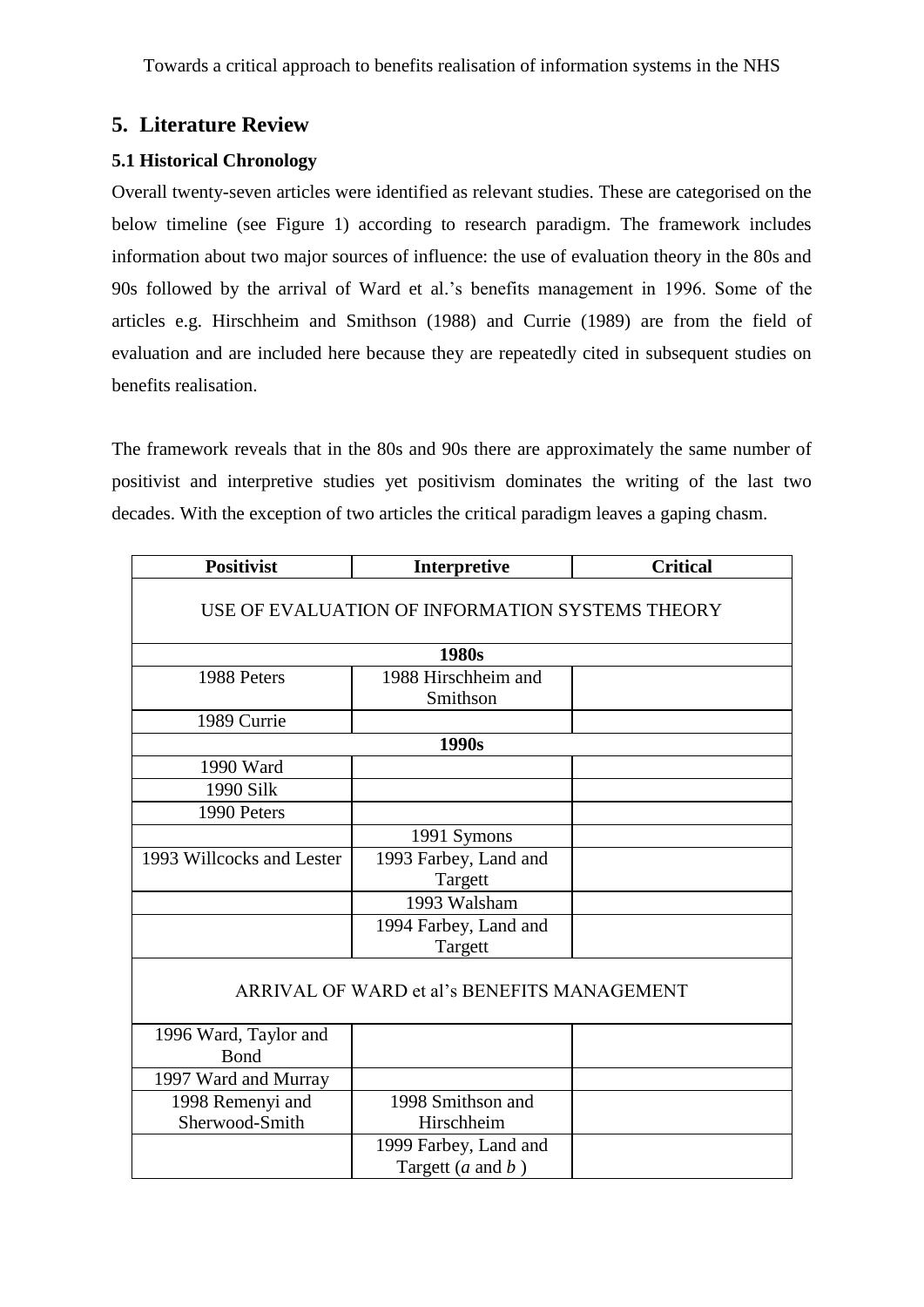## **5. Literature Review**

#### **5.1 Historical Chronology**

Overall twenty-seven articles were identified as relevant studies. These are categorised on the below timeline (see Figure 1) according to research paradigm. The framework includes information about two major sources of influence: the use of evaluation theory in the 80s and 90s followed by the arrival of Ward et al.'s benefits management in 1996. Some of the articles e.g. Hirschheim and Smithson (1988) and Currie [\(1989\)](#page-19-14) are from the field of evaluation and are included here because they are repeatedly cited in subsequent studies on benefits realisation.

The framework reveals that in the 80s and 90s there are approximately the same number of positivist and interpretive studies yet positivism dominates the writing of the last two decades. With the exception of two articles the critical paradigm leaves a gaping chasm.

| <b>Positivist</b>                               | Interpretive            | <b>Critical</b> |  |
|-------------------------------------------------|-------------------------|-----------------|--|
| USE OF EVALUATION OF INFORMATION SYSTEMS THEORY |                         |                 |  |
|                                                 | 1980s                   |                 |  |
| 1988 Peters                                     | 1988 Hirschheim and     |                 |  |
|                                                 | Smithson                |                 |  |
| 1989 Currie                                     |                         |                 |  |
|                                                 | 1990s                   |                 |  |
| 1990 Ward                                       |                         |                 |  |
| 1990 Silk                                       |                         |                 |  |
| 1990 Peters                                     |                         |                 |  |
|                                                 | 1991 Symons             |                 |  |
| 1993 Willcocks and Lester                       | 1993 Farbey, Land and   |                 |  |
|                                                 | Targett                 |                 |  |
|                                                 | 1993 Walsham            |                 |  |
|                                                 | 1994 Farbey, Land and   |                 |  |
|                                                 | Targett                 |                 |  |
| ARRIVAL OF WARD et al's BENEFITS MANAGEMENT     |                         |                 |  |
| 1996 Ward, Taylor and                           |                         |                 |  |
| Bond                                            |                         |                 |  |
| 1997 Ward and Murray                            |                         |                 |  |
| 1998 Remenyi and                                | 1998 Smithson and       |                 |  |
| Sherwood-Smith                                  | Hirschheim              |                 |  |
|                                                 | 1999 Farbey, Land and   |                 |  |
|                                                 | Targett ( $a$ and $b$ ) |                 |  |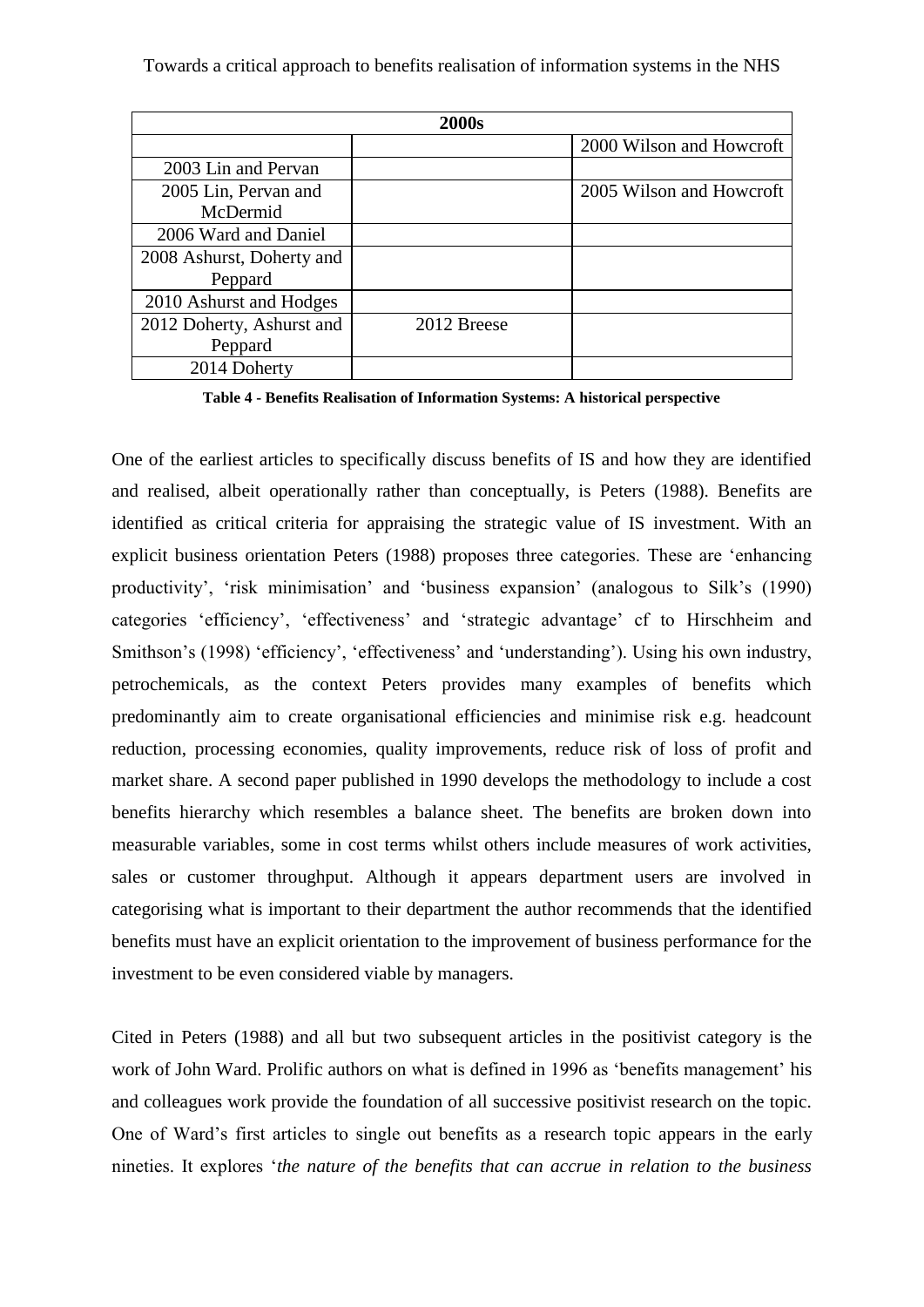| 2000s                     |             |                          |
|---------------------------|-------------|--------------------------|
|                           |             | 2000 Wilson and Howcroft |
| 2003 Lin and Pervan       |             |                          |
| 2005 Lin, Pervan and      |             | 2005 Wilson and Howcroft |
| McDermid                  |             |                          |
| 2006 Ward and Daniel      |             |                          |
| 2008 Ashurst, Doherty and |             |                          |
| Peppard                   |             |                          |
| 2010 Ashurst and Hodges   |             |                          |
| 2012 Doherty, Ashurst and | 2012 Breese |                          |
| Peppard                   |             |                          |
| 2014 Doherty              |             |                          |

**Table 4 - Benefits Realisation of Information Systems: A historical perspective**

One of the earliest articles to specifically discuss benefits of IS and how they are identified and realised, albeit operationally rather than conceptually, is Peters (1988). Benefits are identified as critical criteria for appraising the strategic value of IS investment. With an explicit business orientation Peters (1988) proposes three categories. These are 'enhancing productivity', 'risk minimisation' and 'business expansion' (analogous to Silk's (1990) categories 'efficiency', 'effectiveness' and 'strategic advantage' cf to Hirschheim and Smithson's (1998) 'efficiency', 'effectiveness' and 'understanding'). Using his own industry, petrochemicals, as the context Peters provides many examples of benefits which predominantly aim to create organisational efficiencies and minimise risk e.g. headcount reduction, processing economies, quality improvements, reduce risk of loss of profit and market share. A second paper published in 1990 develops the methodology to include a cost benefits hierarchy which resembles a balance sheet. The benefits are broken down into measurable variables, some in cost terms whilst others include measures of work activities, sales or customer throughput. Although it appears department users are involved in categorising what is important to their department the author recommends that the identified benefits must have an explicit orientation to the improvement of business performance for the investment to be even considered viable by managers.

Cited in Peters (1988) and all but two subsequent articles in the positivist category is the work of John Ward. Prolific authors on what is defined in 1996 as 'benefits management' his and colleagues work provide the foundation of all successive positivist research on the topic. One of Ward's first articles to single out benefits as a research topic appears in the early nineties. It explores '*the nature of the benefits that can accrue in relation to the business*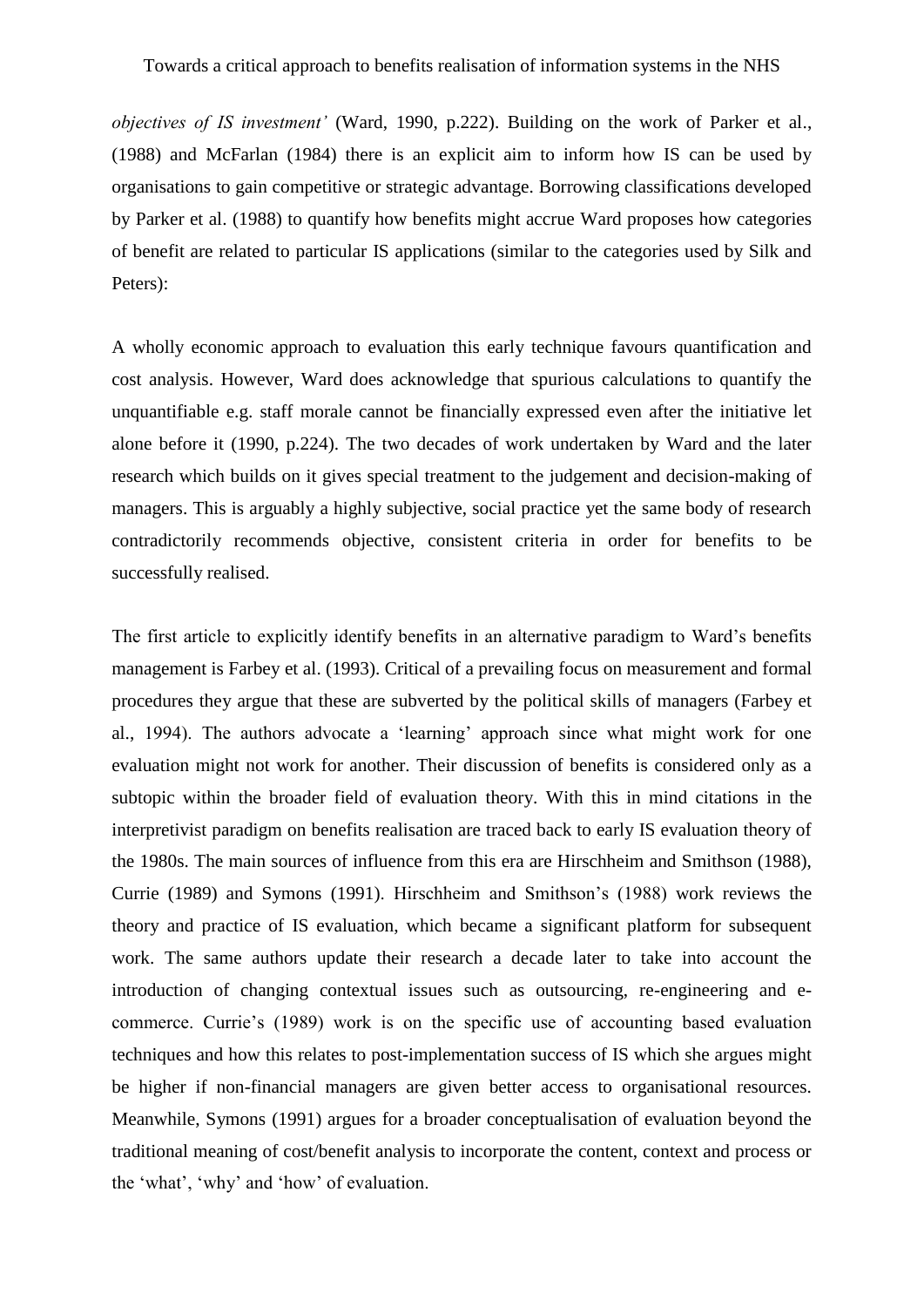*objectives of IS investment'* (Ward, 1990, p.222). Building on the work of Parker et al., [\(1988\)](#page-21-11) and McFarlan [\(1984\)](#page-21-12) there is an explicit aim to inform how IS can be used by organisations to gain competitive or strategic advantage. Borrowing classifications developed by Parker et al. (1988) to quantify how benefits might accrue Ward proposes how categories of benefit are related to particular IS applications (similar to the categories used by Silk and Peters):

A wholly economic approach to evaluation this early technique favours quantification and cost analysis. However, Ward does acknowledge that spurious calculations to quantify the unquantifiable e.g. staff morale cannot be financially expressed even after the initiative let alone before it (1990, p.224). The two decades of work undertaken by Ward and the later research which builds on it gives special treatment to the judgement and decision-making of managers. This is arguably a highly subjective, social practice yet the same body of research contradictorily recommends objective, consistent criteria in order for benefits to be successfully realised.

The first article to explicitly identify benefits in an alternative paradigm to Ward's benefits management is Farbey et al. [\(1993\)](#page-20-14). Critical of a prevailing focus on measurement and formal procedures they argue that these are subverted by the political skills of managers (Farbey et al., 1994). The authors advocate a 'learning' approach since what might work for one evaluation might not work for another. Their discussion of benefits is considered only as a subtopic within the broader field of evaluation theory. With this in mind citations in the interpretivist paradigm on benefits realisation are traced back to early IS evaluation theory of the 1980s. The main sources of influence from this era are Hirschheim and Smithson (1988), Currie (1989) and Symons [\(1991\)](#page-22-12). Hirschheim and Smithson's (1988) work reviews the theory and practice of IS evaluation, which became a significant platform for subsequent work. The same authors update their research a decade later to take into account the introduction of changing contextual issues such as outsourcing, re-engineering and ecommerce. Currie's (1989) work is on the specific use of accounting based evaluation techniques and how this relates to post-implementation success of IS which she argues might be higher if non-financial managers are given better access to organisational resources. Meanwhile, Symons (1991) argues for a broader conceptualisation of evaluation beyond the traditional meaning of cost/benefit analysis to incorporate the content, context and process or the 'what', 'why' and 'how' of evaluation.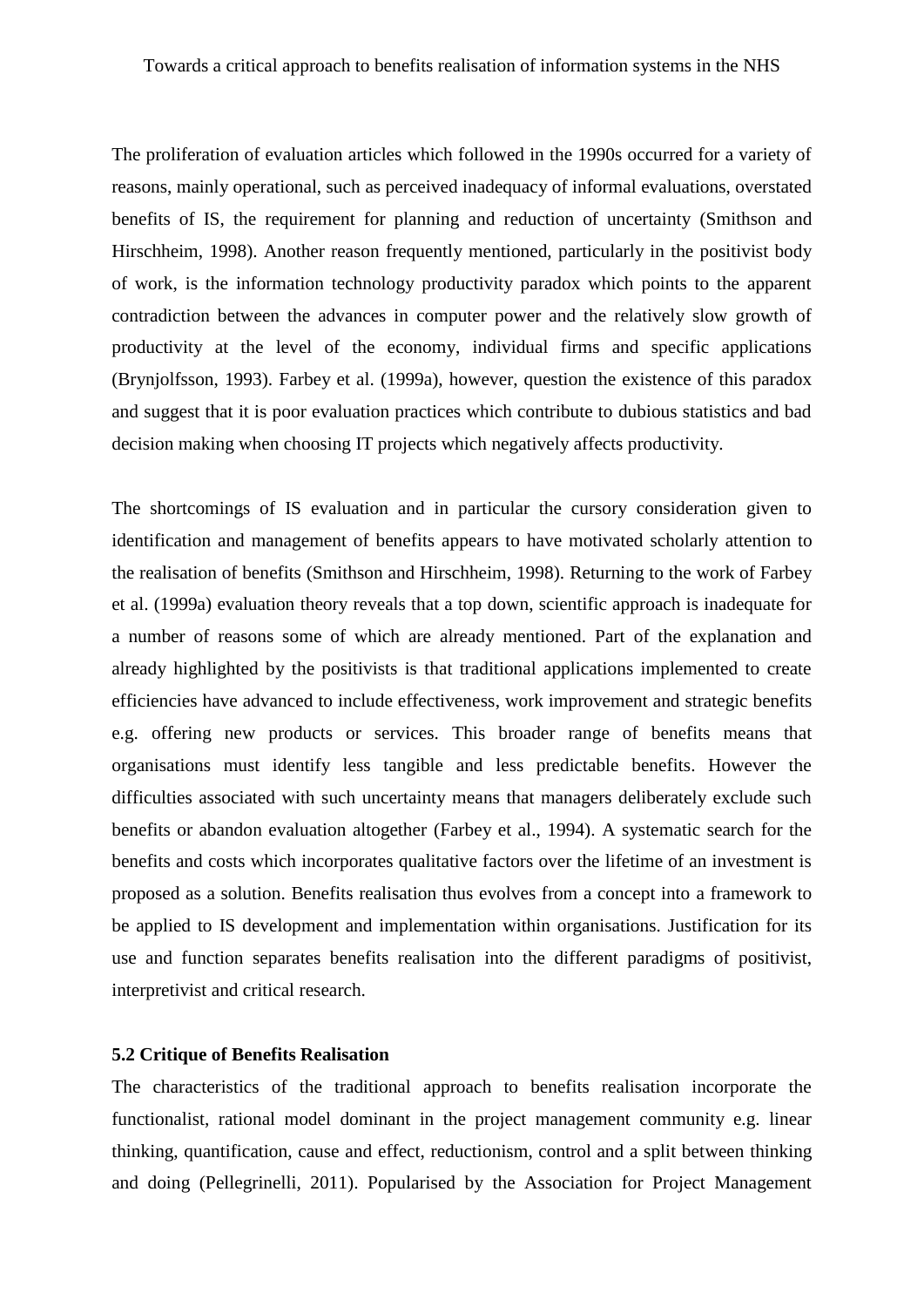The proliferation of evaluation articles which followed in the 1990s occurred for a variety of reasons, mainly operational, such as perceived inadequacy of informal evaluations, overstated benefits of IS, the requirement for planning and reduction of uncertainty [\(Smithson and](#page-22-10)  [Hirschheim, 1998\)](#page-22-10). Another reason frequently mentioned, particularly in the positivist body of work, is the information technology productivity paradox which points to the apparent contradiction between the advances in computer power and the relatively slow growth of productivity at the level of the economy, individual firms and specific applications [\(Brynjolfsson, 1993\)](#page-19-15). Farbey et al. [\(1999a\)](#page-20-15), however, question the existence of this paradox and suggest that it is poor evaluation practices which contribute to dubious statistics and bad decision making when choosing IT projects which negatively affects productivity.

The shortcomings of IS evaluation and in particular the cursory consideration given to identification and management of benefits appears to have motivated scholarly attention to the realisation of benefits (Smithson and Hirschheim, 1998). Returning to the work of Farbey et al. (1999a) evaluation theory reveals that a top down, scientific approach is inadequate for a number of reasons some of which are already mentioned. Part of the explanation and already highlighted by the positivists is that traditional applications implemented to create efficiencies have advanced to include effectiveness, work improvement and strategic benefits e.g. offering new products or services. This broader range of benefits means that organisations must identify less tangible and less predictable benefits. However the difficulties associated with such uncertainty means that managers deliberately exclude such benefits or abandon evaluation altogether (Farbey et al., 1994). A systematic search for the benefits and costs which incorporates qualitative factors over the lifetime of an investment is proposed as a solution. Benefits realisation thus evolves from a concept into a framework to be applied to IS development and implementation within organisations. Justification for its use and function separates benefits realisation into the different paradigms of positivist, interpretivist and critical research.

#### **5.2 Critique of Benefits Realisation**

The characteristics of the traditional approach to benefits realisation incorporate the functionalist, rational model dominant in the project management community e.g. linear thinking, quantification, cause and effect, reductionism, control and a split between thinking and doing [\(Pellegrinelli, 2011\)](#page-21-13). Popularised by the Association for Project Management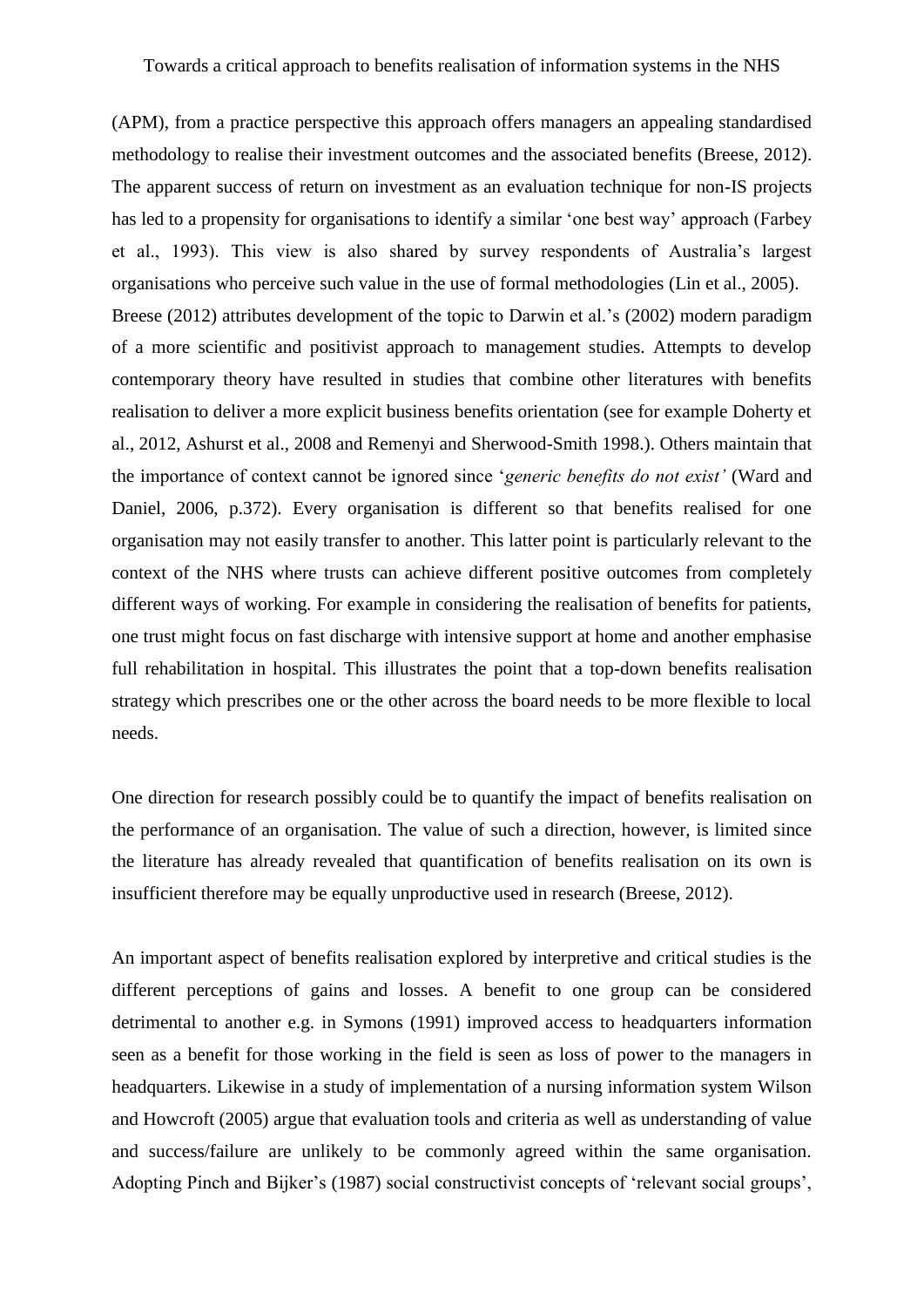(APM), from a practice perspective this approach offers managers an appealing standardised methodology to realise their investment outcomes and the associated benefits [\(Breese, 2012\)](#page-19-16). The apparent success of return on investment as an evaluation technique for non-IS projects has led to a propensity for organisations to identify a similar 'one best way' approach (Farbey et al., 1993). This view is also shared by survey respondents of Australia's largest organisations who perceive such value in the use of formal methodologies [\(Lin et al., 2005\)](#page-20-16). Breese (2012) attributes development of the topic to Darwin et al.'s [\(2002\)](#page-19-17) modern paradigm of a more scientific and positivist approach to management studies. Attempts to develop contemporary theory have resulted in studies that combine other literatures with benefits realisation to deliver a more explicit business benefits orientation (see for example Doherty et al., 2012, Ashurst et al., 2008 and Remenyi and Sherwood-Smith 1998.). Others maintain that the importance of context cannot be ignored since '*generic benefits do not exist'* (Ward and Daniel, 2006, p.372). Every organisation is different so that benefits realised for one organisation may not easily transfer to another. This latter point is particularly relevant to the context of the NHS where trusts can achieve different positive outcomes from completely different ways of working. For example in considering the realisation of benefits for patients, one trust might focus on fast discharge with intensive support at home and another emphasise full rehabilitation in hospital. This illustrates the point that a top-down benefits realisation strategy which prescribes one or the other across the board needs to be more flexible to local needs.

One direction for research possibly could be to quantify the impact of benefits realisation on the performance of an organisation. The value of such a direction, however, is limited since the literature has already revealed that quantification of benefits realisation on its own is insufficient therefore may be equally unproductive used in research (Breese, 2012).

An important aspect of benefits realisation explored by interpretive and critical studies is the different perceptions of gains and losses. A benefit to one group can be considered detrimental to another e.g. in Symons (1991) improved access to headquarters information seen as a benefit for those working in the field is seen as loss of power to the managers in headquarters. Likewise in a study of implementation of a nursing information system Wilson and Howcroft (2005) argue that evaluation tools and criteria as well as understanding of value and success/failure are unlikely to be commonly agreed within the same organisation. Adopting Pinch and Bijker's [\(1987\)](#page-21-14) social constructivist concepts of 'relevant social groups',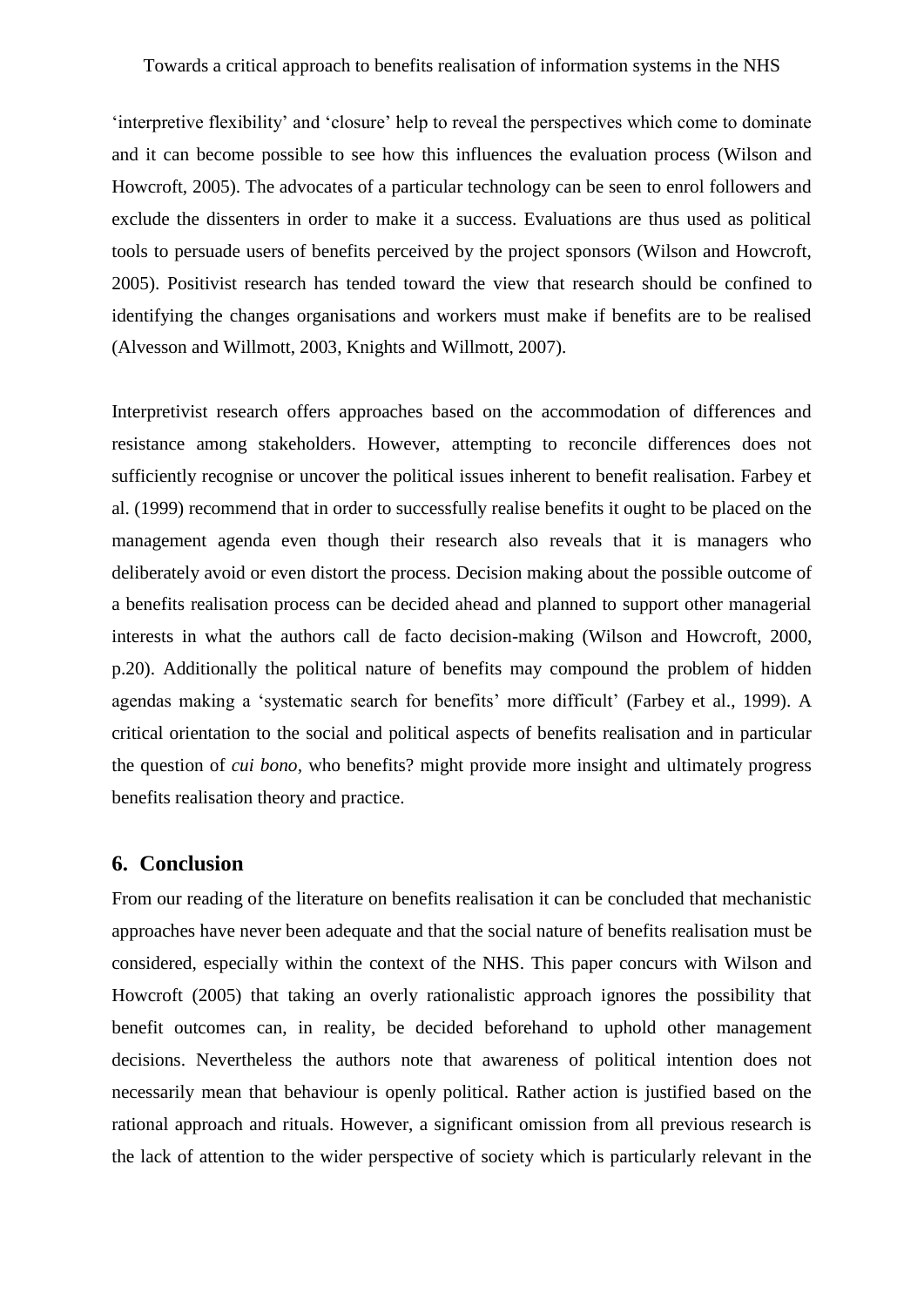'interpretive flexibility' and 'closure' help to reveal the perspectives which come to dominate and it can become possible to see how this influences the evaluation process (Wilson and Howcroft, 2005). The advocates of a particular technology can be seen to enrol followers and exclude the dissenters in order to make it a success. Evaluations are thus used as political tools to persuade users of benefits perceived by the project sponsors (Wilson and Howcroft, 2005). Positivist research has tended toward the view that research should be confined to identifying the changes organisations and workers must make if benefits are to be realised [\(Alvesson and Willmott, 2003,](#page-19-18) [Knights and Willmott, 2007\)](#page-20-17).

Interpretivist research offers approaches based on the accommodation of differences and resistance among stakeholders. However, attempting to reconcile differences does not sufficiently recognise or uncover the political issues inherent to benefit realisation. Farbey et al. (1999) recommend that in order to successfully realise benefits it ought to be placed on the management agenda even though their research also reveals that it is managers who deliberately avoid or even distort the process. Decision making about the possible outcome of a benefits realisation process can be decided ahead and planned to support other managerial interests in what the authors call de facto decision-making (Wilson and Howcroft, 2000, p.20). Additionally the political nature of benefits may compound the problem of hidden agendas making a 'systematic search for benefits' more difficult' (Farbey et al., 1999). A critical orientation to the social and political aspects of benefits realisation and in particular the question of *cui bono,* who benefits? might provide more insight and ultimately progress benefits realisation theory and practice.

#### **6. Conclusion**

From our reading of the literature on benefits realisation it can be concluded that mechanistic approaches have never been adequate and that the social nature of benefits realisation must be considered, especially within the context of the NHS. This paper concurs with Wilson and Howcroft (2005) that taking an overly rationalistic approach ignores the possibility that benefit outcomes can, in reality, be decided beforehand to uphold other management decisions. Nevertheless the authors note that awareness of political intention does not necessarily mean that behaviour is openly political. Rather action is justified based on the rational approach and rituals. However, a significant omission from all previous research is the lack of attention to the wider perspective of society which is particularly relevant in the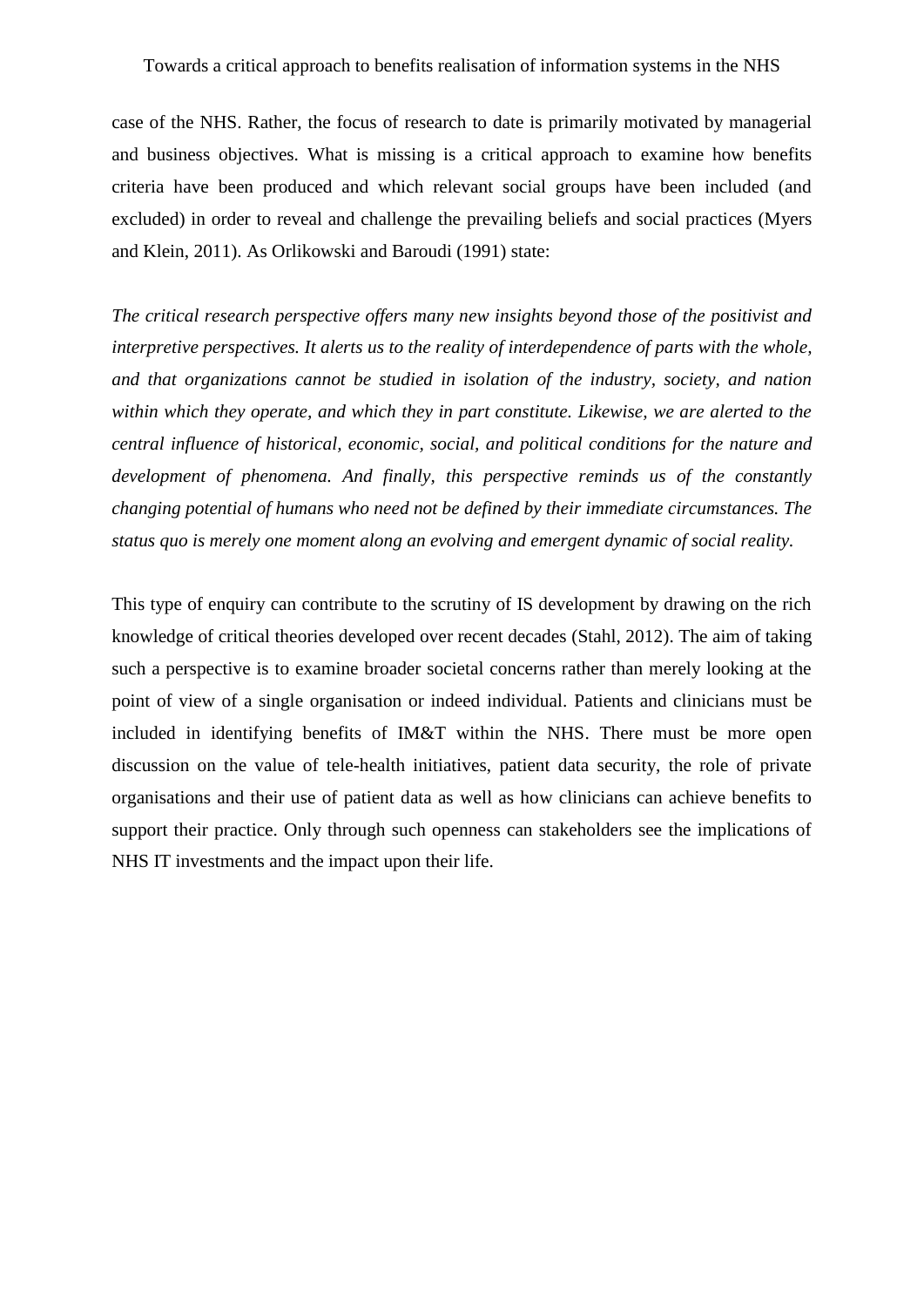case of the NHS. Rather, the focus of research to date is primarily motivated by managerial and business objectives. What is missing is a critical approach to examine how benefits criteria have been produced and which relevant social groups have been included (and excluded) in order to reveal and challenge the prevailing beliefs and social practices [\(Myers](#page-21-15)  [and Klein, 2011\)](#page-21-15). As Orlikowski and Baroudi (1991) state:

*The critical research perspective offers many new insights beyond those of the positivist and interpretive perspectives. It alerts us to the reality of interdependence of parts with the whole, and that organizations cannot be studied in isolation of the industry, society, and nation within which they operate, and which they in part constitute. Likewise, we are alerted to the central influence of historical, economic, social, and political conditions for the nature and development of phenomena. And finally, this perspective reminds us of the constantly changing potential of humans who need not be defined by their immediate circumstances. The status quo is merely one moment along an evolving and emergent dynamic of social reality.*

This type of enquiry can contribute to the scrutiny of IS development by drawing on the rich knowledge of critical theories developed over recent decades [\(Stahl, 2012\)](#page-22-13). The aim of taking such a perspective is to examine broader societal concerns rather than merely looking at the point of view of a single organisation or indeed individual. Patients and clinicians must be included in identifying benefits of IM&T within the NHS. There must be more open discussion on the value of tele-health initiatives, patient data security, the role of private organisations and their use of patient data as well as how clinicians can achieve benefits to support their practice. Only through such openness can stakeholders see the implications of NHS IT investments and the impact upon their life.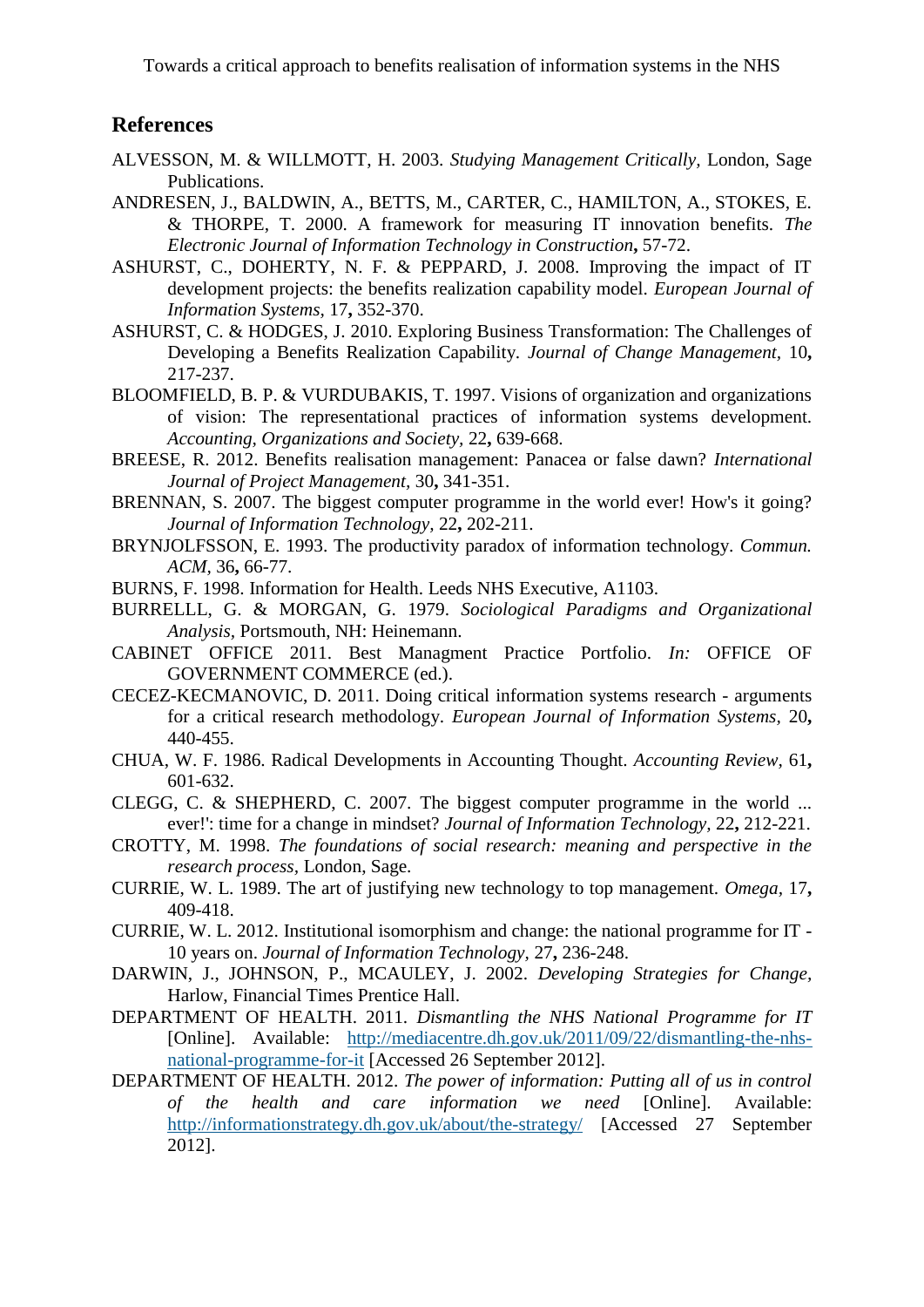## **References**

- <span id="page-19-18"></span>ALVESSON, M. & WILLMOTT, H. 2003. *Studying Management Critically,* London, Sage Publications.
- <span id="page-19-10"></span>ANDRESEN, J., BALDWIN, A., BETTS, M., CARTER, C., HAMILTON, A., STOKES, E. & THORPE, T. 2000. A framework for measuring IT innovation benefits. *The Electronic Journal of Information Technology in Construction***,** 57-72.
- <span id="page-19-1"></span>ASHURST, C., DOHERTY, N. F. & PEPPARD, J. 2008. Improving the impact of IT development projects: the benefits realization capability model. *European Journal of Information Systems,* 17**,** 352-370.
- ASHURST, C. & HODGES, J. 2010. Exploring Business Transformation: The Challenges of Developing a Benefits Realization Capability. *Journal of Change Management,* 10**,** 217-237.
- <span id="page-19-9"></span>BLOOMFIELD, B. P. & VURDUBAKIS, T. 1997. Visions of organization and organizations of vision: The representational practices of information systems development. *Accounting, Organizations and Society,* 22**,** 639-668.
- <span id="page-19-16"></span>BREESE, R. 2012. Benefits realisation management: Panacea or false dawn? *International Journal of Project Management,* 30**,** 341-351.
- <span id="page-19-6"></span>BRENNAN, S. 2007. The biggest computer programme in the world ever! How's it going? *Journal of Information Technology,* 22**,** 202-211.
- <span id="page-19-15"></span>BRYNJOLFSSON, E. 1993. The productivity paradox of information technology. *Commun. ACM,* 36**,** 66-77.
- <span id="page-19-5"></span>BURNS, F. 1998. Information for Health. Leeds NHS Executive, A1103.
- <span id="page-19-11"></span>BURRELLL, G. & MORGAN, G. 1979. *Sociological Paradigms and Organizational Analysis,* Portsmouth, NH: Heinemann.
- <span id="page-19-0"></span>CABINET OFFICE 2011. Best Managment Practice Portfolio. *In:* OFFICE OF GOVERNMENT COMMERCE (ed.).
- <span id="page-19-13"></span>CECEZ-KECMANOVIC, D. 2011. Doing critical information systems research - arguments for a critical research methodology. *European Journal of Information Systems,* 20**,** 440-455.
- <span id="page-19-2"></span>CHUA, W. F. 1986. Radical Developments in Accounting Thought. *Accounting Review,* 61**,** 601-632.
- <span id="page-19-3"></span>CLEGG, C. & SHEPHERD, C. 2007. The biggest computer programme in the world ... ever!': time for a change in mindset? *Journal of Information Technology,* 22**,** 212-221.
- <span id="page-19-12"></span>CROTTY, M. 1998. *The foundations of social research: meaning and perspective in the research process,* London, Sage.
- <span id="page-19-14"></span>CURRIE, W. L. 1989. The art of justifying new technology to top management. *Omega,* 17**,** 409-418.
- <span id="page-19-4"></span>CURRIE, W. L. 2012. Institutional isomorphism and change: the national programme for IT - 10 years on. *Journal of Information Technology,* 27**,** 236-248.
- <span id="page-19-17"></span>DARWIN, J., JOHNSON, P., MCAULEY, J. 2002. *Developing Strategies for Change,*  Harlow, Financial Times Prentice Hall.
- <span id="page-19-7"></span>DEPARTMENT OF HEALTH. 2011. *Dismantling the NHS National Programme for IT*  [Online]. Available: [http://mediacentre.dh.gov.uk/2011/09/22/dismantling-the-nhs](http://mediacentre.dh.gov.uk/2011/09/22/dismantling-the-nhs-national-programme-for-it)[national-programme-for-it](http://mediacentre.dh.gov.uk/2011/09/22/dismantling-the-nhs-national-programme-for-it) [Accessed 26 September 2012].
- <span id="page-19-8"></span>DEPARTMENT OF HEALTH. 2012. *The power of information: Putting all of us in control of the health and care information we need* [Online]. Available: <http://informationstrategy.dh.gov.uk/about/the-strategy/> [Accessed 27 September 2012].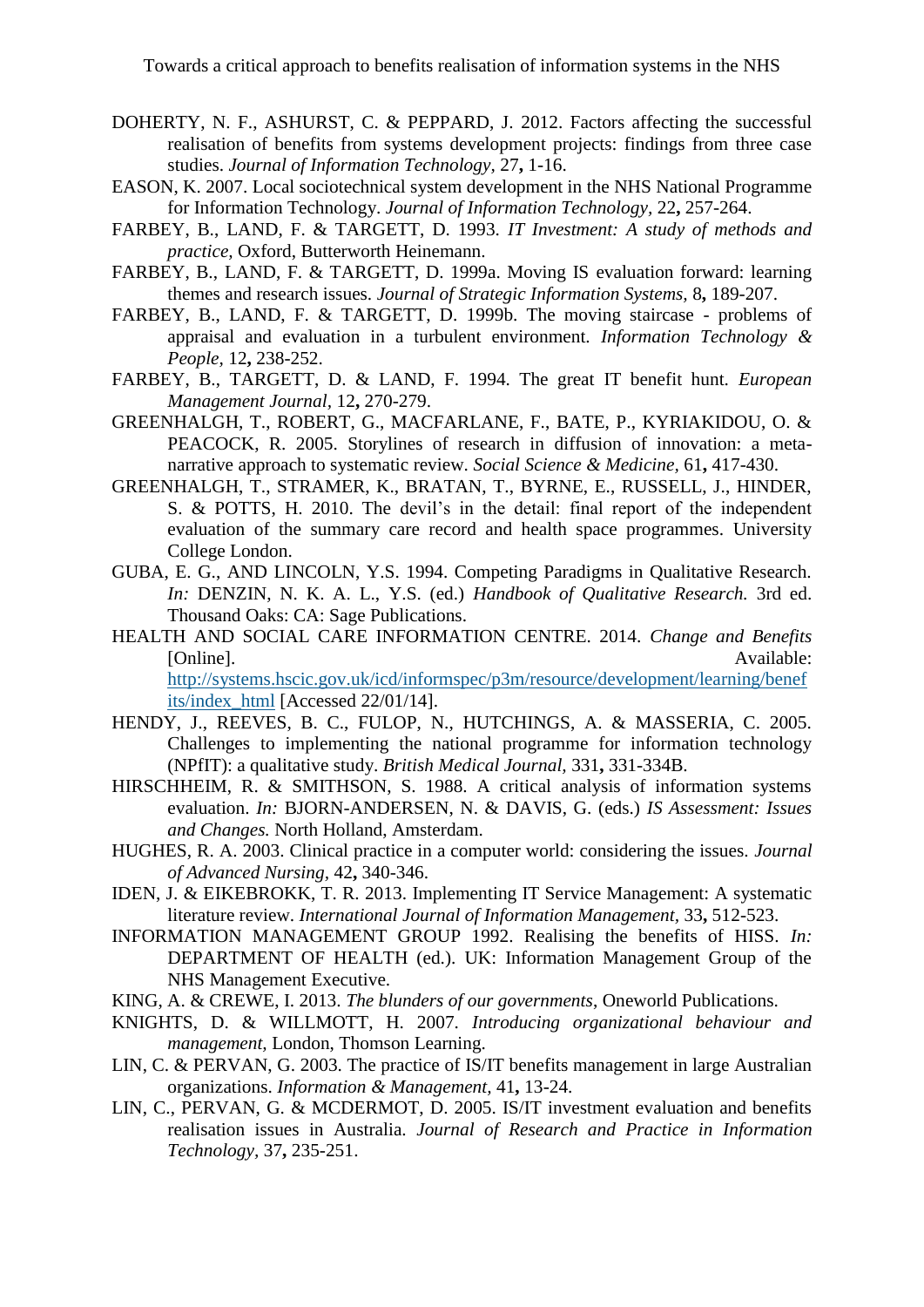- <span id="page-20-4"></span>DOHERTY, N. F., ASHURST, C. & PEPPARD, J. 2012. Factors affecting the successful realisation of benefits from systems development projects: findings from three case studies. *Journal of Information Technology,* 27**,** 1-16.
- <span id="page-20-6"></span>EASON, K. 2007. Local sociotechnical system development in the NHS National Programme for Information Technology. *Journal of Information Technology,* 22**,** 257-264.
- <span id="page-20-14"></span>FARBEY, B., LAND, F. & TARGETT, D. 1993. *IT Investment: A study of methods and practice,* Oxford, Butterworth Heinemann.
- <span id="page-20-15"></span>FARBEY, B., LAND, F. & TARGETT, D. 1999a. Moving IS evaluation forward: learning themes and research issues. *Journal of Strategic Information Systems,* 8**,** 189-207.
- FARBEY, B., LAND, F. & TARGETT, D. 1999b. The moving staircase problems of appraisal and evaluation in a turbulent environment. *Information Technology & People,* 12**,** 238-252.
- <span id="page-20-10"></span>FARBEY, B., TARGETT, D. & LAND, F. 1994. The great IT benefit hunt. *European Management Journal,* 12**,** 270-279.
- <span id="page-20-11"></span>GREENHALGH, T., ROBERT, G., MACFARLANE, F., BATE, P., KYRIAKIDOU, O. & PEACOCK, R. 2005. Storylines of research in diffusion of innovation: a metanarrative approach to systematic review. *Social Science & Medicine,* 61**,** 417-430.
- <span id="page-20-1"></span>GREENHALGH, T., STRAMER, K., BRATAN, T., BYRNE, E., RUSSELL, J., HINDER, S. & POTTS, H. 2010. The devil's in the detail: final report of the independent evaluation of the summary care record and health space programmes. University College London.
- <span id="page-20-13"></span>GUBA, E. G., AND LINCOLN, Y.S. 1994. Competing Paradigms in Qualitative Research. *In:* DENZIN, N. K. A. L., Y.S. (ed.) *Handbook of Qualitative Research.* 3rd ed. Thousand Oaks: CA: Sage Publications.
- <span id="page-20-3"></span>HEALTH AND SOCIAL CARE INFORMATION CENTRE. 2014. *Change and Benefits*  [Online]. Available: [http://systems.hscic.gov.uk/icd/informspec/p3m/resource/development/learning/benef](http://systems.hscic.gov.uk/icd/informspec/p3m/resource/development/learning/benefits/index_html) [its/index\\_html](http://systems.hscic.gov.uk/icd/informspec/p3m/resource/development/learning/benefits/index_html) [Accessed 22/01/14].
- <span id="page-20-7"></span>HENDY, J., REEVES, B. C., FULOP, N., HUTCHINGS, A. & MASSERIA, C. 2005. Challenges to implementing the national programme for information technology (NPfIT): a qualitative study. *British Medical Journal,* 331**,** 331-334B.
- <span id="page-20-9"></span>HIRSCHHEIM, R. & SMITHSON, S. 1988. A critical analysis of information systems evaluation. *In:* BJORN-ANDERSEN, N. & DAVIS, G. (eds.) *IS Assessment: Issues and Changes.* North Holland, Amsterdam.
- <span id="page-20-0"></span>HUGHES, R. A. 2003. Clinical practice in a computer world: considering the issues. *Journal of Advanced Nursing,* 42**,** 340-346.
- <span id="page-20-12"></span>IDEN, J. & EIKEBROKK, T. R. 2013. Implementing IT Service Management: A systematic literature review. *International Journal of Information Management,* 33**,** 512-523.
- <span id="page-20-2"></span>INFORMATION MANAGEMENT GROUP 1992. Realising the benefits of HISS. *In:* DEPARTMENT OF HEALTH (ed.). UK: Information Management Group of the NHS Management Executive.
- <span id="page-20-5"></span>KING, A. & CREWE, I. 2013. *The blunders of our governments*, Oneworld Publications.
- <span id="page-20-17"></span>KNIGHTS, D. & WILLMOTT, H. 2007. *Introducing organizational behaviour and management,* London, Thomson Learning.
- <span id="page-20-8"></span>LIN, C. & PERVAN, G. 2003. The practice of IS/IT benefits management in large Australian organizations. *Information & Management,* 41**,** 13-24.
- <span id="page-20-16"></span>LIN, C., PERVAN, G. & MCDERMOT, D. 2005. IS/IT investment evaluation and benefits realisation issues in Australia. *Journal of Research and Practice in Information Technology,* 37**,** 235-251.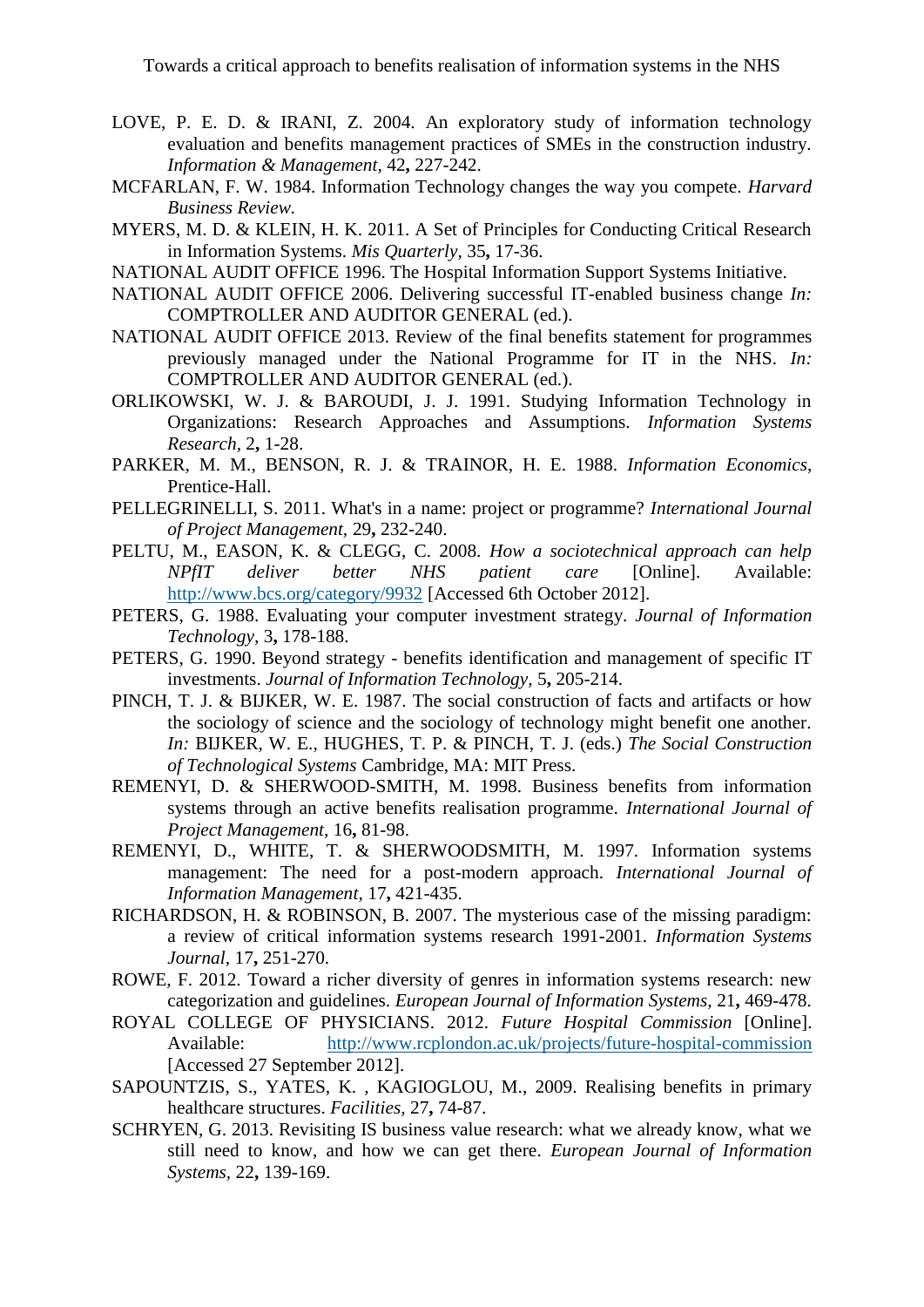- <span id="page-21-9"></span>LOVE, P. E. D. & IRANI, Z. 2004. An exploratory study of information technology evaluation and benefits management practices of SMEs in the construction industry. *Information & Management,* 42**,** 227-242.
- <span id="page-21-12"></span>MCFARLAN, F. W. 1984. Information Technology changes the way you compete. *Harvard Business Review.*
- <span id="page-21-15"></span>MYERS, M. D. & KLEIN, H. K. 2011. A Set of Principles for Conducting Critical Research in Information Systems. *Mis Quarterly,* 35**,** 17-36.
- <span id="page-21-0"></span>NATIONAL AUDIT OFFICE 1996. The Hospital Information Support Systems Initiative.
- <span id="page-21-2"></span>NATIONAL AUDIT OFFICE 2006. Delivering successful IT-enabled business change *In:* COMPTROLLER AND AUDITOR GENERAL (ed.).
- <span id="page-21-1"></span>NATIONAL AUDIT OFFICE 2013. Review of the final benefits statement for programmes previously managed under the National Programme for IT in the NHS. *In:* COMPTROLLER AND AUDITOR GENERAL (ed.).
- <span id="page-21-3"></span>ORLIKOWSKI, W. J. & BAROUDI, J. J. 1991. Studying Information Technology in Organizations: Research Approaches and Assumptions. *Information Systems Research,* 2**,** 1-28.
- <span id="page-21-11"></span>PARKER, M. M., BENSON, R. J. & TRAINOR, H. E. 1988. *Information Economics*, Prentice-Hall.
- <span id="page-21-13"></span>PELLEGRINELLI, S. 2011. What's in a name: project or programme? *International Journal of Project Management,* 29**,** 232-240.
- <span id="page-21-4"></span>PELTU, M., EASON, K. & CLEGG, C. 2008. *How a sociotechnical approach can help NPfIT deliver better NHS patient care* [Online]. Available: <http://www.bcs.org/category/9932> [Accessed 6th October 2012].
- PETERS, G. 1988. Evaluating your computer investment strategy. *Journal of Information Technology,* 3**,** 178-188.
- PETERS, G. 1990. Beyond strategy benefits identification and management of specific IT investments. *Journal of Information Technology,* 5**,** 205-214.
- <span id="page-21-14"></span>PINCH, T. J. & BIJKER, W. E. 1987. The social construction of facts and artifacts or how the sociology of science and the sociology of technology might benefit one another. *In:* BIJKER, W. E., HUGHES, T. P. & PINCH, T. J. (eds.) *The Social Construction of Technological Systems* Cambridge, MA: MIT Press.
- REMENYI, D. & SHERWOOD-SMITH, M. 1998. Business benefits from information systems through an active benefits realisation programme. *International Journal of Project Management,* 16**,** 81-98.
- REMENYI, D., WHITE, T. & SHERWOODSMITH, M. 1997. Information systems management: The need for a post-modern approach. *International Journal of Information Management,* 17**,** 421-435.
- <span id="page-21-10"></span>RICHARDSON, H. & ROBINSON, B. 2007. The mysterious case of the missing paradigm: a review of critical information systems research 1991-2001. *Information Systems Journal,* 17**,** 251-270.
- <span id="page-21-6"></span>ROWE, F. 2012. Toward a richer diversity of genres in information systems research: new categorization and guidelines. *European Journal of Information Systems,* 21**,** 469-478.
- <span id="page-21-5"></span>ROYAL COLLEGE OF PHYSICIANS. 2012. *Future Hospital Commission* [Online]. Available: <http://www.rcplondon.ac.uk/projects/future-hospital-commission> [Accessed 27 September 2012].
- <span id="page-21-8"></span>SAPOUNTZIS, S., YATES, K. , KAGIOGLOU, M., 2009. Realising benefits in primary healthcare structures. *Facilities,* 27**,** 74-87.
- <span id="page-21-7"></span>SCHRYEN, G. 2013. Revisiting IS business value research: what we already know, what we still need to know, and how we can get there. *European Journal of Information Systems,* 22**,** 139-169.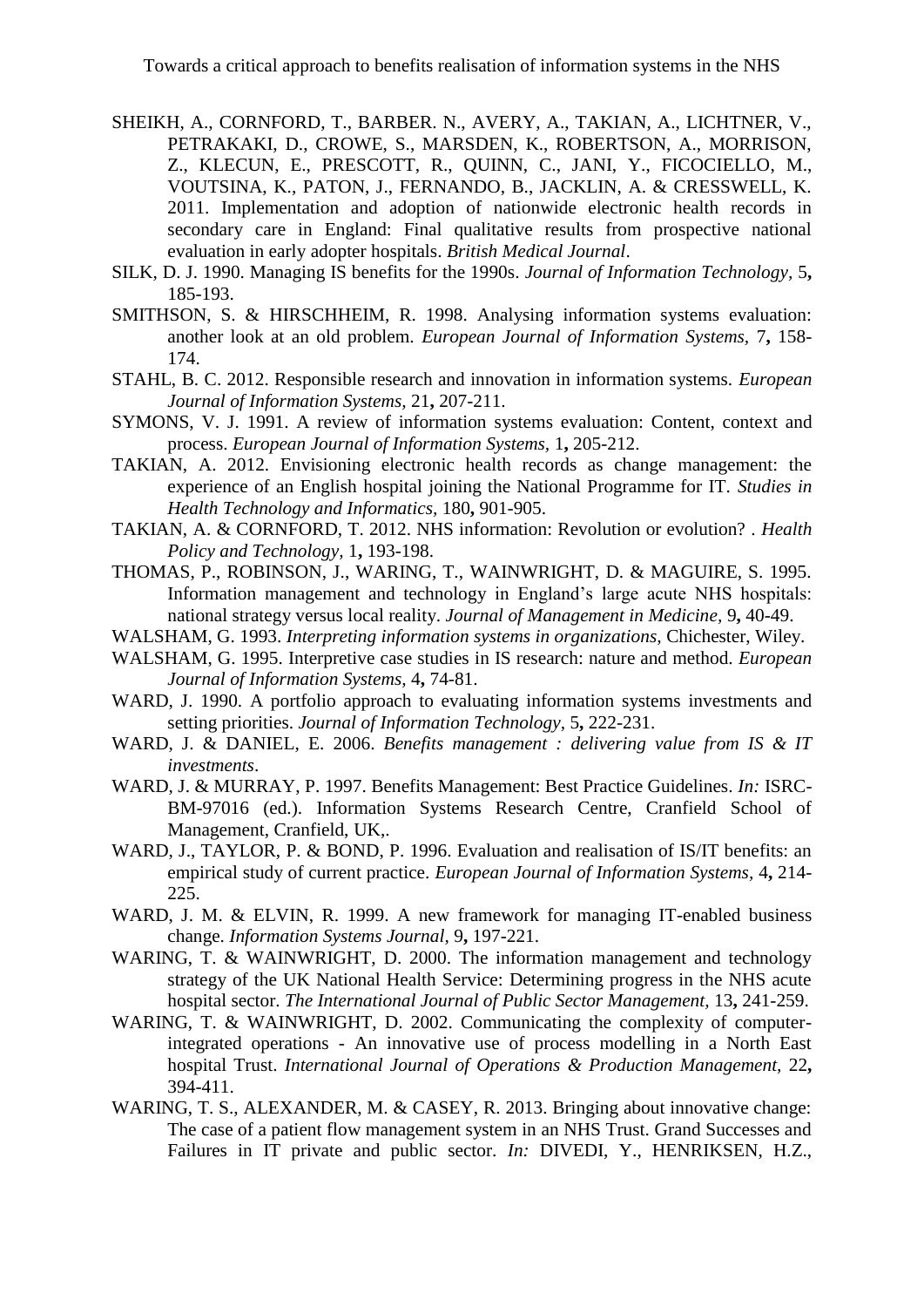- <span id="page-22-1"></span>SHEIKH, A., CORNFORD, T., BARBER. N., AVERY, A., TAKIAN, A., LICHTNER, V., PETRAKAKI, D., CROWE, S., MARSDEN, K., ROBERTSON, A., MORRISON, Z., KLECUN, E., PRESCOTT, R., QUINN, C., JANI, Y., FICOCIELLO, M., VOUTSINA, K., PATON, J., FERNANDO, B., JACKLIN, A. & CRESSWELL, K. 2011. Implementation and adoption of nationwide electronic health records in secondary care in England: Final qualitative results from prospective national evaluation in early adopter hospitals. *British Medical Journal*.
- SILK, D. J. 1990. Managing IS benefits for the 1990s. *Journal of Information Technology,* 5**,** 185-193.
- <span id="page-22-10"></span>SMITHSON, S. & HIRSCHHEIM, R. 1998. Analysing information systems evaluation: another look at an old problem. *European Journal of Information Systems,* 7**,** 158- 174.
- <span id="page-22-13"></span>STAHL, B. C. 2012. Responsible research and innovation in information systems. *European Journal of Information Systems,* 21**,** 207-211.
- <span id="page-22-12"></span>SYMONS, V. J. 1991. A review of information systems evaluation: Content, context and process. *European Journal of Information Systems,* 1**,** 205-212.
- <span id="page-22-4"></span>TAKIAN, A. 2012. Envisioning electronic health records as change management: the experience of an English hospital joining the National Programme for IT. *Studies in Health Technology and Informatics,* 180**,** 901-905.
- <span id="page-22-2"></span>TAKIAN, A. & CORNFORD, T. 2012. NHS information: Revolution or evolution? . *Health Policy and Technology,* 1**,** 193-198.
- <span id="page-22-0"></span>THOMAS, P., ROBINSON, J., WARING, T., WAINWRIGHT, D. & MAGUIRE, S. 1995. Information management and technology in England's large acute NHS hospitals: national strategy versus local reality. *Journal of Management in Medicine,* 9**,** 40-49.
- WALSHAM, G. 1993. *Interpreting information systems in organizations,* Chichester, Wiley.
- <span id="page-22-11"></span>WALSHAM, G. 1995. Interpretive case studies in IS research: nature and method. *European Journal of Information Systems,* 4**,** 74-81.
- WARD, J. 1990. A portfolio approach to evaluating information systems investments and setting priorities. *Journal of Information Technology,* 5**,** 222-231.
- <span id="page-22-8"></span>WARD, J. & DANIEL, E. 2006. *Benefits management : delivering value from IS & IT investments*.
- WARD, J. & MURRAY, P. 1997. Benefits Management: Best Practice Guidelines. *In:* ISRC-BM-97016 (ed.). Information Systems Research Centre, Cranfield School of Management, Cranfield, UK,.
- <span id="page-22-9"></span>WARD, J., TAYLOR, P. & BOND, P. 1996. Evaluation and realisation of IS/IT benefits: an empirical study of current practice. *European Journal of Information Systems,* 4**,** 214- 225.
- <span id="page-22-7"></span>WARD, J. M. & ELVIN, R. 1999. A new framework for managing IT-enabled business change. *Information Systems Journal,* 9**,** 197-221.
- <span id="page-22-3"></span>WARING, T. & WAINWRIGHT, D. 2000. The information management and technology strategy of the UK National Health Service: Determining progress in the NHS acute hospital sector. *The International Journal of Public Sector Management,* 13**,** 241-259.
- <span id="page-22-6"></span>WARING, T. & WAINWRIGHT, D. 2002. Communicating the complexity of computerintegrated operations - An innovative use of process modelling in a North East hospital Trust. *International Journal of Operations & Production Management,* 22**,** 394-411.
- <span id="page-22-5"></span>WARING, T. S., ALEXANDER, M. & CASEY, R. 2013. Bringing about innovative change: The case of a patient flow management system in an NHS Trust. Grand Successes and Failures in IT private and public sector. *In:* DIVEDI, Y., HENRIKSEN, H.Z.,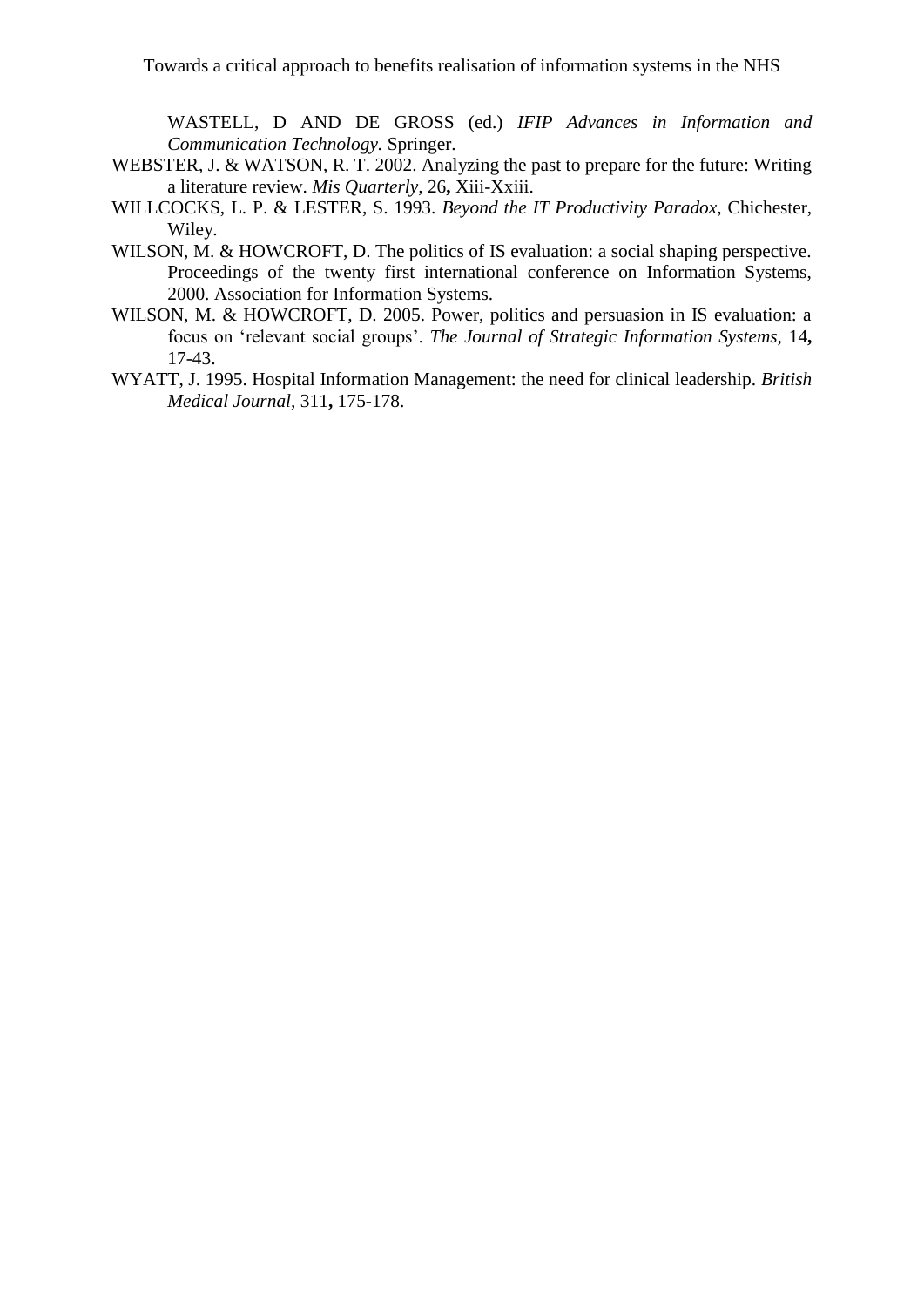WASTELL, D AND DE GROSS (ed.) *IFIP Advances in Information and Communication Technology.* Springer.

- <span id="page-23-2"></span>WEBSTER, J. & WATSON, R. T. 2002. Analyzing the past to prepare for the future: Writing a literature review. *Mis Quarterly,* 26**,** Xiii-Xxiii.
- WILLCOCKS, L. P. & LESTER, S. 1993. *Beyond the IT Productivity Paradox,* Chichester, Wiley.
- <span id="page-23-3"></span>WILSON, M. & HOWCROFT, D. The politics of IS evaluation: a social shaping perspective. Proceedings of the twenty first international conference on Information Systems, 2000. Association for Information Systems.
- <span id="page-23-0"></span>WILSON, M. & HOWCROFT, D. 2005. Power, politics and persuasion in IS evaluation: a focus on 'relevant social groups'. *The Journal of Strategic Information Systems,* 14**,** 17-43.
- <span id="page-23-1"></span>WYATT, J. 1995. Hospital Information Management: the need for clinical leadership. *British Medical Journal,* 311**,** 175-178.